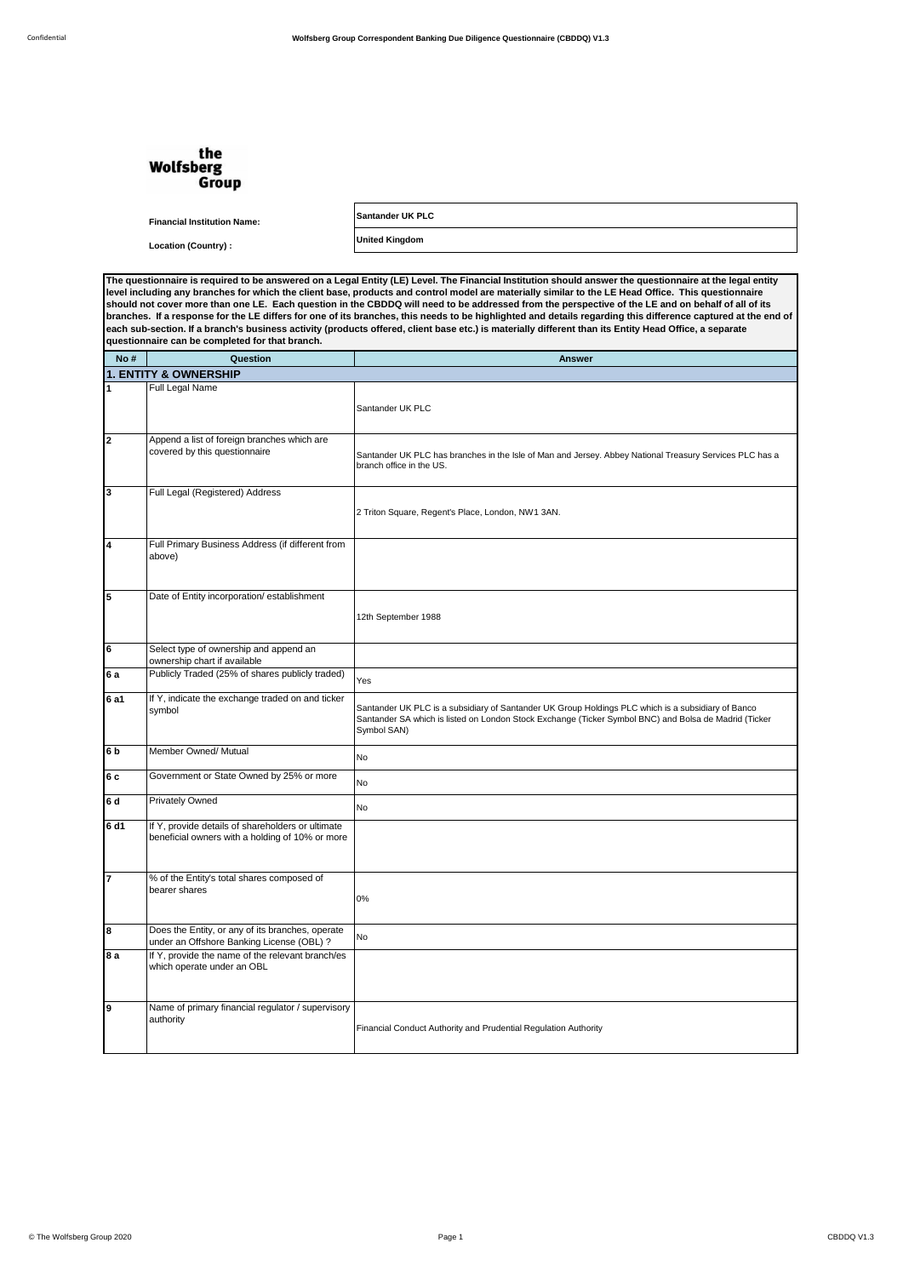## the **Wolfsberg** Group

**Financial Institution Name: Santander UK PLC**

**Location (Country) : United Kingdom**

**The questionnaire is required to be answered on a Legal Entity (LE) Level. The Financial Institution should answer the questionnaire at the legal entity level including any branches for which the client base, products and control model are materially similar to the LE Head Office. This questionnaire**  should not cover more than one LE. Each question in the CBDDQ will need to be addressed from the perspective of the LE and on behalf of all of its<br>branches. If a response for the LE differs for one of its branches, this **questionnaire can be completed for that branch.**

| No #                    | Question                                                                                             | <b>Answer</b>                                                                                                                                                                                                              |  |  |  |
|-------------------------|------------------------------------------------------------------------------------------------------|----------------------------------------------------------------------------------------------------------------------------------------------------------------------------------------------------------------------------|--|--|--|
|                         | <b>1. ENTITY &amp; OWNERSHIP</b>                                                                     |                                                                                                                                                                                                                            |  |  |  |
| 1                       | Full Legal Name                                                                                      | Santander UK PLC                                                                                                                                                                                                           |  |  |  |
| $\overline{\mathbf{2}}$ | Append a list of foreign branches which are<br>covered by this questionnaire                         | Santander UK PLC has branches in the Isle of Man and Jersey. Abbey National Treasury Services PLC has a<br>branch office in the US.                                                                                        |  |  |  |
| 3                       | Full Legal (Registered) Address                                                                      | 2 Triton Square, Regent's Place, London, NW1 3AN.                                                                                                                                                                          |  |  |  |
| 4                       | Full Primary Business Address (if different from<br>above)                                           |                                                                                                                                                                                                                            |  |  |  |
| 5                       | Date of Entity incorporation/ establishment                                                          | 12th September 1988                                                                                                                                                                                                        |  |  |  |
| 6                       | Select type of ownership and append an<br>ownership chart if available                               |                                                                                                                                                                                                                            |  |  |  |
| 6 a                     | Publicly Traded (25% of shares publicly traded)                                                      | Yes                                                                                                                                                                                                                        |  |  |  |
| 6 a1                    | If Y, indicate the exchange traded on and ticker<br>symbol                                           | Santander UK PLC is a subsidiary of Santander UK Group Holdings PLC which is a subsidiary of Banco<br>Santander SA which is listed on London Stock Exchange (Ticker Symbol BNC) and Bolsa de Madrid (Ticker<br>Symbol SAN) |  |  |  |
| 6 <sub>b</sub>          | Member Owned/ Mutual                                                                                 | No                                                                                                                                                                                                                         |  |  |  |
| 6 c                     | Government or State Owned by 25% or more                                                             | <b>No</b>                                                                                                                                                                                                                  |  |  |  |
| 6 d                     | <b>Privately Owned</b>                                                                               | <b>No</b>                                                                                                                                                                                                                  |  |  |  |
| 6 d1                    | If Y, provide details of shareholders or ultimate<br>beneficial owners with a holding of 10% or more |                                                                                                                                                                                                                            |  |  |  |
| 7                       | % of the Entity's total shares composed of<br>bearer shares                                          | 0%                                                                                                                                                                                                                         |  |  |  |
| 8                       | Does the Entity, or any of its branches, operate<br>under an Offshore Banking License (OBL) ?        | No                                                                                                                                                                                                                         |  |  |  |
| 8 a                     | If Y, provide the name of the relevant branch/es<br>which operate under an OBL                       |                                                                                                                                                                                                                            |  |  |  |
| 9                       | Name of primary financial regulator / supervisory<br>authority                                       | Financial Conduct Authority and Prudential Regulation Authority                                                                                                                                                            |  |  |  |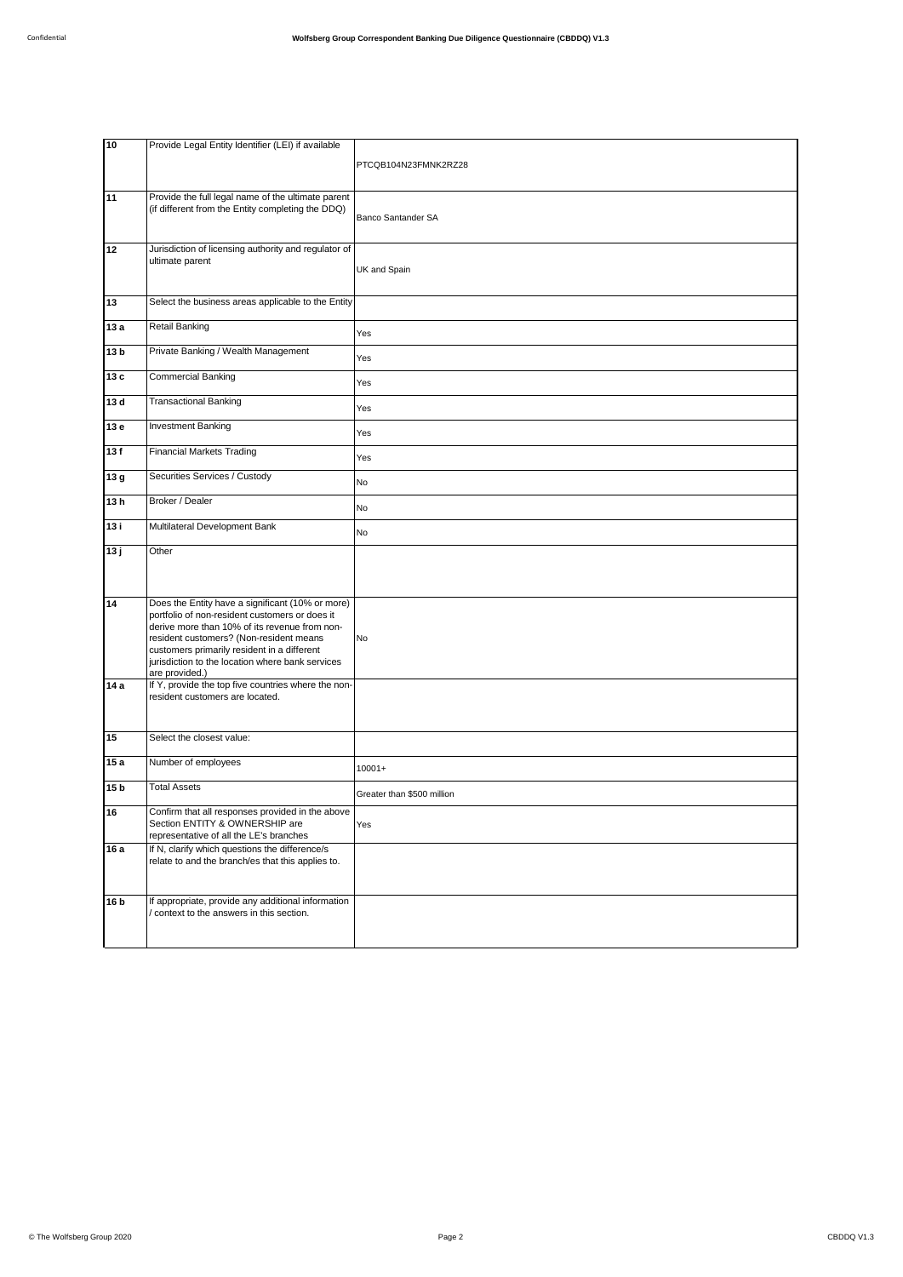| 10                      | Provide Legal Entity Identifier (LEI) if available                                                                                                                                                                                                                                                | PTCQB104N23FMNK2RZ28       |
|-------------------------|---------------------------------------------------------------------------------------------------------------------------------------------------------------------------------------------------------------------------------------------------------------------------------------------------|----------------------------|
| $\overline{11}$         | Provide the full legal name of the ultimate parent<br>(if different from the Entity completing the DDQ)                                                                                                                                                                                           | Banco Santander SA         |
| 12                      | Jurisdiction of licensing authority and regulator of<br>ultimate parent                                                                                                                                                                                                                           | UK and Spain               |
| 13                      | Select the business areas applicable to the Entity                                                                                                                                                                                                                                                |                            |
| 13 a                    | Retail Banking                                                                                                                                                                                                                                                                                    | Yes                        |
| 13 <sub>b</sub>         | Private Banking / Wealth Management                                                                                                                                                                                                                                                               | Yes                        |
| 13 c                    | <b>Commercial Banking</b>                                                                                                                                                                                                                                                                         | Yes                        |
| 13 d                    | <b>Transactional Banking</b>                                                                                                                                                                                                                                                                      | Yes                        |
| 13 e                    | <b>Investment Banking</b>                                                                                                                                                                                                                                                                         | Yes                        |
| 13f                     | <b>Financial Markets Trading</b>                                                                                                                                                                                                                                                                  | Yes                        |
| $\sqrt{13} g$           | Securities Services / Custody                                                                                                                                                                                                                                                                     | No                         |
| 13h                     | Broker / Dealer                                                                                                                                                                                                                                                                                   | No                         |
| 13 i                    | Multilateral Development Bank                                                                                                                                                                                                                                                                     | No                         |
|                         |                                                                                                                                                                                                                                                                                                   |                            |
| 13j                     | Other                                                                                                                                                                                                                                                                                             |                            |
| 14                      | Does the Entity have a significant (10% or more)<br>portfolio of non-resident customers or does it<br>derive more than 10% of its revenue from non-<br>resident customers? (Non-resident means<br>customers primarily resident in a different<br>jurisdiction to the location where bank services | No                         |
| 14a                     | are provided.)<br>If Y, provide the top five countries where the non-<br>resident customers are located.                                                                                                                                                                                          |                            |
| 15                      | Select the closest value:                                                                                                                                                                                                                                                                         |                            |
| 15a                     | Number of employees                                                                                                                                                                                                                                                                               | $10001+$                   |
| 15 <sub>b</sub>         | <b>Total Assets</b>                                                                                                                                                                                                                                                                               | Greater than \$500 million |
| 16                      | Confirm that all responses provided in the above<br>Section ENTITY & OWNERSHIP are<br>representative of all the LE's branches                                                                                                                                                                     | Yes                        |
| 16 a<br>16 <sub>b</sub> | If N, clarify which questions the difference/s<br>relate to and the branch/es that this applies to.<br>If appropriate, provide any additional information                                                                                                                                         |                            |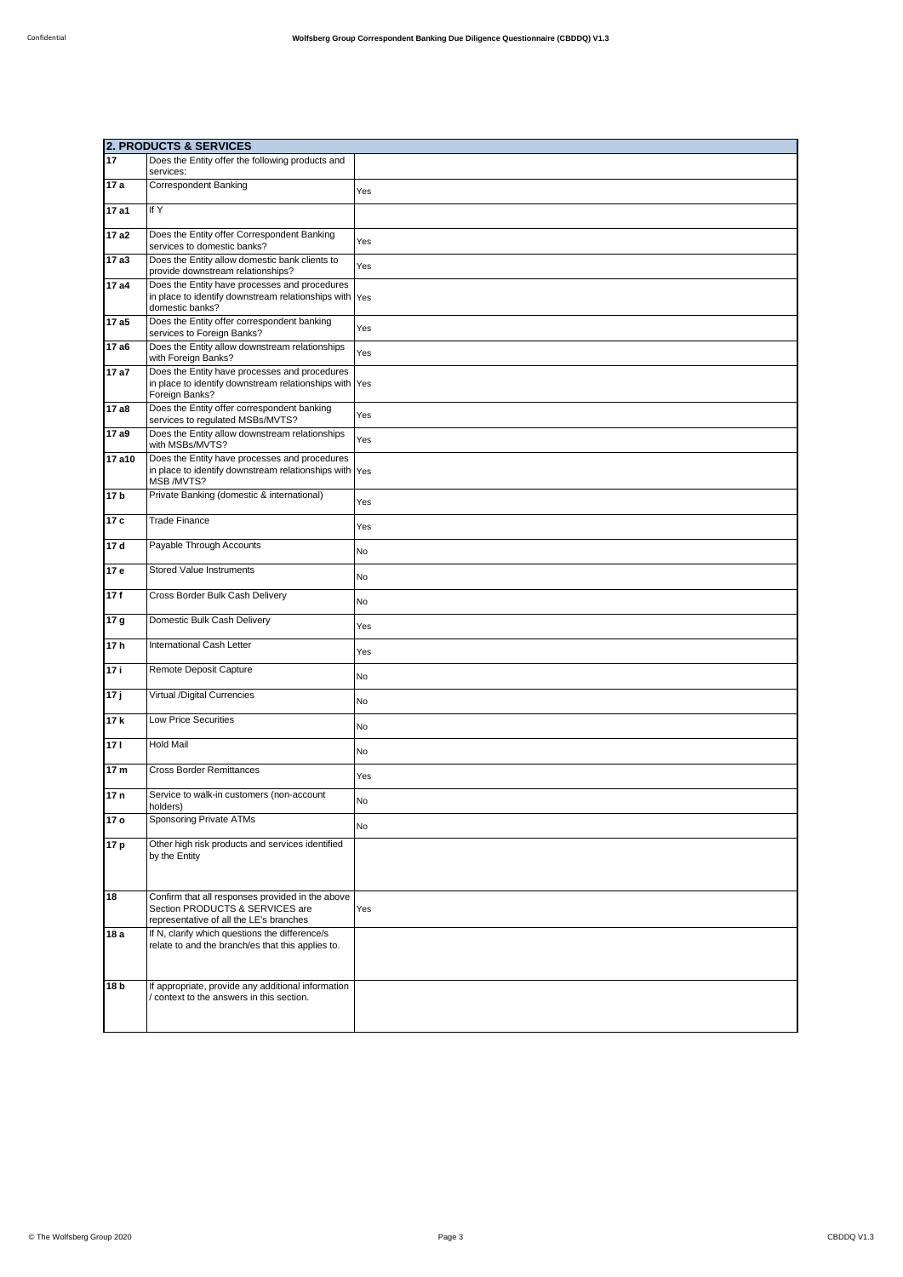|                 | <b>2. PRODUCTS &amp; SERVICES</b>                                                                                              |     |  |
|-----------------|--------------------------------------------------------------------------------------------------------------------------------|-----|--|
| $\overline{17}$ | Does the Entity offer the following products and<br>services:                                                                  |     |  |
| 17a             | <b>Correspondent Banking</b>                                                                                                   | Yes |  |
| 17 a1           | If Y                                                                                                                           |     |  |
| 17a2            | Does the Entity offer Correspondent Banking<br>services to domestic banks?                                                     | Yes |  |
| 17a3            | Does the Entity allow domestic bank clients to<br>provide downstream relationships?                                            | Yes |  |
| 17 a4           | Does the Entity have processes and procedures<br>in place to identify downstream relationships with Yes<br>domestic banks?     |     |  |
| 17 a5           | Does the Entity offer correspondent banking<br>services to Foreign Banks?                                                      | Yes |  |
| 17 a6           | Does the Entity allow downstream relationships<br>with Foreign Banks?                                                          | Yes |  |
| 17a7            | Does the Entity have processes and procedures<br>in place to identify downstream relationships with Yes<br>Foreign Banks?      |     |  |
| 17 a8           | Does the Entity offer correspondent banking<br>services to regulated MSBs/MVTS?                                                | Yes |  |
| 17 a9           | Does the Entity allow downstream relationships<br>with MSBs/MVTS?                                                              | Yes |  |
| 17 a10          | Does the Entity have processes and procedures<br>in place to identify downstream relationships with Yes<br>MSB /MVTS?          |     |  |
| 17 <sub>b</sub> | Private Banking (domestic & international)                                                                                     | Yes |  |
| 17 c            | <b>Trade Finance</b>                                                                                                           | Yes |  |
| 17d             | Payable Through Accounts                                                                                                       | No  |  |
| 17 e            | <b>Stored Value Instruments</b>                                                                                                | No  |  |
| 17f             | Cross Border Bulk Cash Delivery                                                                                                | No  |  |
| 17 g            | Domestic Bulk Cash Delivery                                                                                                    | Yes |  |
| 17h             | International Cash Letter                                                                                                      | Yes |  |
| 17i             | Remote Deposit Capture                                                                                                         | No  |  |
| 17j             | Virtual /Digital Currencies                                                                                                    | No  |  |
| 17 k            | Low Price Securities                                                                                                           | No  |  |
| 171             | <b>Hold Mail</b>                                                                                                               | No  |  |
| 17 m            | <b>Cross Border Remittances</b>                                                                                                | Yes |  |
| 17 <sub>n</sub> | Service to walk-in customers (non-account<br>holders)                                                                          | No  |  |
| 17 o            | Sponsoring Private ATMs                                                                                                        | No  |  |
| 17 p            | Other high risk products and services identified<br>by the Entity                                                              |     |  |
| 18              | Confirm that all responses provided in the above<br>Section PRODUCTS & SERVICES are<br>representative of all the LE's branches | Yes |  |
| 18 a            | If N, clarify which questions the difference/s<br>relate to and the branch/es that this applies to.                            |     |  |
| 18 <sub>b</sub> | If appropriate, provide any additional information<br>context to the answers in this section.                                  |     |  |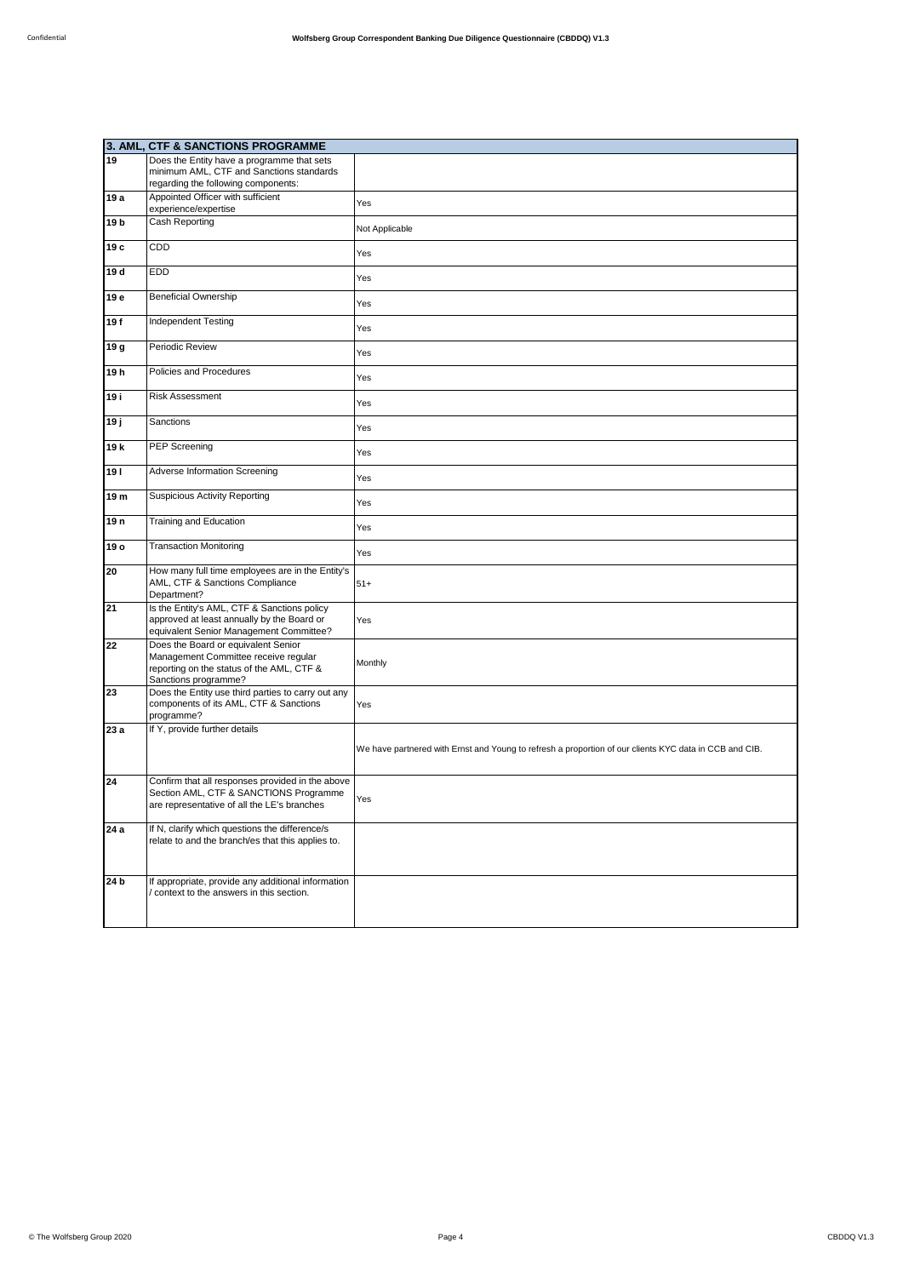|                 | 3. AML, CTF & SANCTIONS PROGRAMME                                                                                                                |                                                                                                        |
|-----------------|--------------------------------------------------------------------------------------------------------------------------------------------------|--------------------------------------------------------------------------------------------------------|
| 19              | Does the Entity have a programme that sets                                                                                                       |                                                                                                        |
|                 | minimum AML, CTF and Sanctions standards                                                                                                         |                                                                                                        |
|                 | regarding the following components:                                                                                                              |                                                                                                        |
| 19 a            | Appointed Officer with sufficient<br>experience/expertise                                                                                        | Yes                                                                                                    |
| 19 <sub>b</sub> | Cash Reporting                                                                                                                                   | Not Applicable                                                                                         |
| 19 с            | CDD                                                                                                                                              | Yes                                                                                                    |
| 19 d            | EDD                                                                                                                                              | Yes                                                                                                    |
| 19 e            | <b>Beneficial Ownership</b>                                                                                                                      | Yes                                                                                                    |
| 19f             | Independent Testing                                                                                                                              | Yes                                                                                                    |
| 19 g            | Periodic Review                                                                                                                                  | Yes                                                                                                    |
| 19 h            | Policies and Procedures                                                                                                                          | Yes                                                                                                    |
| 19 i            | <b>Risk Assessment</b>                                                                                                                           | Yes                                                                                                    |
| 19 ј            | Sanctions                                                                                                                                        | Yes                                                                                                    |
| 19 k            | PEP Screening                                                                                                                                    | Yes                                                                                                    |
| 191             | Adverse Information Screening                                                                                                                    | Yes                                                                                                    |
| 19 m            | <b>Suspicious Activity Reporting</b>                                                                                                             | Yes                                                                                                    |
| 19 <sub>n</sub> | Training and Education                                                                                                                           | Yes                                                                                                    |
| 19 o            | <b>Transaction Monitoring</b>                                                                                                                    | Yes                                                                                                    |
| 20              | How many full time employees are in the Entity's<br>AML, CTF & Sanctions Compliance<br>Department?                                               | $51+$                                                                                                  |
| 21              | Is the Entity's AML, CTF & Sanctions policy<br>approved at least annually by the Board or<br>equivalent Senior Management Committee?             | Yes                                                                                                    |
| 22              | Does the Board or equivalent Senior<br>Management Committee receive regular<br>reporting on the status of the AML, CTF &<br>Sanctions programme? | Monthly                                                                                                |
| 23              | Does the Entity use third parties to carry out any<br>components of its AML, CTF & Sanctions<br>programme?                                       | Yes                                                                                                    |
| 23 a            | If Y, provide further details                                                                                                                    | We have partnered with Ernst and Young to refresh a proportion of our clients KYC data in CCB and CIB. |
| 24              | Confirm that all responses provided in the above<br>Section AML, CTF & SANCTIONS Programme<br>are representative of all the LE's branches        | Yes                                                                                                    |
| 24 a            | If N, clarify which questions the difference/s<br>relate to and the branch/es that this applies to.                                              |                                                                                                        |
| 24 <sub>b</sub> | If appropriate, provide any additional information<br>context to the answers in this section.                                                    |                                                                                                        |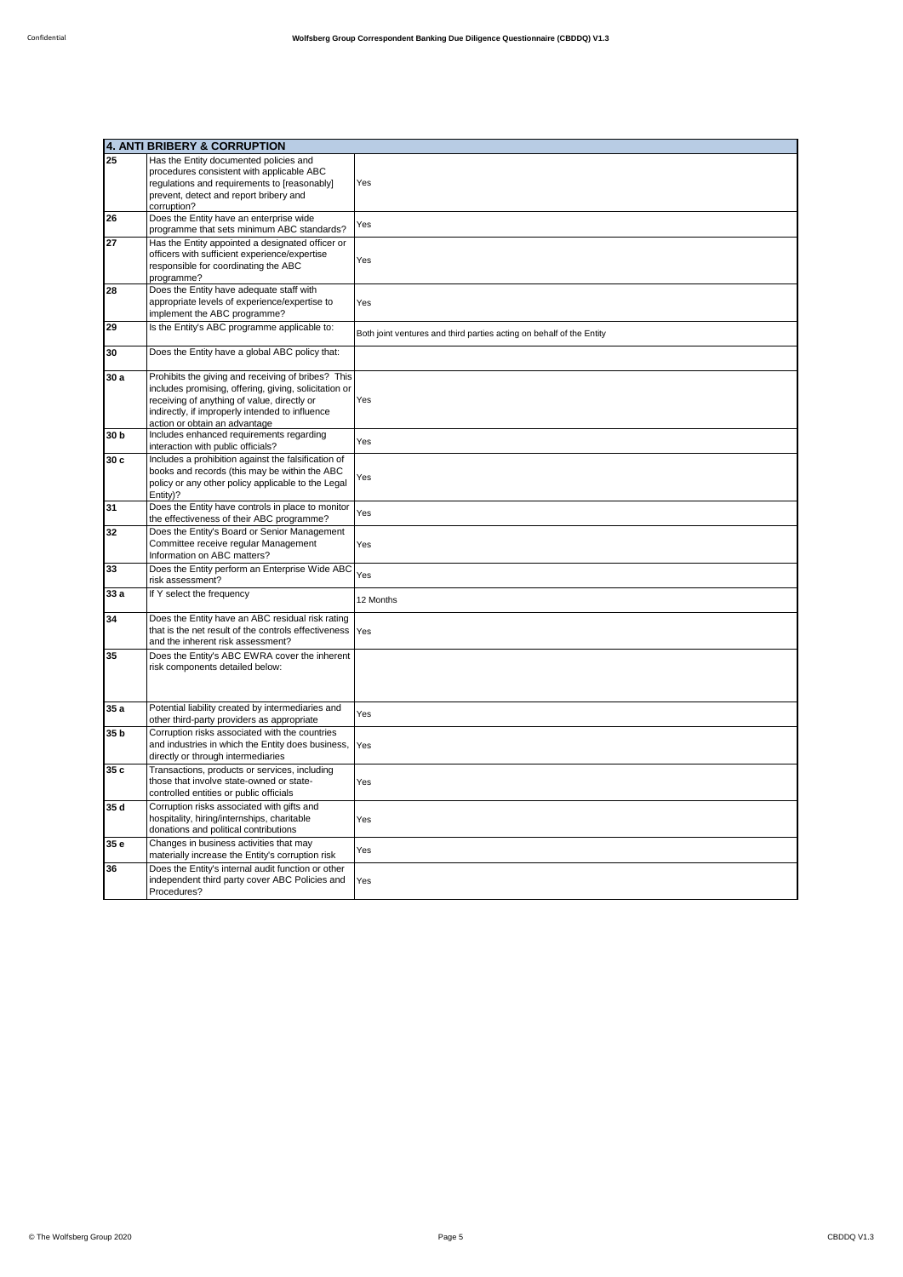|                 | 4. ANTI BRIBERY & CORRUPTION                          |                                                                      |
|-----------------|-------------------------------------------------------|----------------------------------------------------------------------|
| 25              | Has the Entity documented policies and                |                                                                      |
|                 | procedures consistent with applicable ABC             |                                                                      |
|                 | regulations and requirements to [reasonably]          | Yes                                                                  |
|                 | prevent, detect and report bribery and                |                                                                      |
|                 | corruption?                                           |                                                                      |
| 26              | Does the Entity have an enterprise wide               |                                                                      |
|                 | programme that sets minimum ABC standards?            | Yes                                                                  |
| 27              | Has the Entity appointed a designated officer or      |                                                                      |
|                 | officers with sufficient experience/expertise         |                                                                      |
|                 | responsible for coordinating the ABC                  | Yes                                                                  |
|                 | programme?                                            |                                                                      |
| 28              | Does the Entity have adequate staff with              |                                                                      |
|                 | appropriate levels of experience/expertise to         | Yes                                                                  |
|                 | implement the ABC programme?                          |                                                                      |
| 29              | Is the Entity's ABC programme applicable to:          |                                                                      |
|                 |                                                       | Both joint ventures and third parties acting on behalf of the Entity |
| 30              | Does the Entity have a global ABC policy that:        |                                                                      |
|                 |                                                       |                                                                      |
| 30 a            | Prohibits the giving and receiving of bribes? This    |                                                                      |
|                 | includes promising, offering, giving, solicitation or |                                                                      |
|                 | receiving of anything of value, directly or           | Yes                                                                  |
|                 | indirectly, if improperly intended to influence       |                                                                      |
|                 | action or obtain an advantage                         |                                                                      |
| 30 <sub>b</sub> | Includes enhanced requirements regarding              | Yes                                                                  |
|                 | interaction with public officials?                    |                                                                      |
| 30 c            | Includes a prohibition against the falsification of   |                                                                      |
|                 | books and records (this may be within the ABC         | Yes                                                                  |
|                 | policy or any other policy applicable to the Legal    |                                                                      |
|                 | Entity)?                                              |                                                                      |
| 31              | Does the Entity have controls in place to monitor     | Yes                                                                  |
|                 | the effectiveness of their ABC programme?             |                                                                      |
| 32              | Does the Entity's Board or Senior Management          |                                                                      |
|                 | Committee receive regular Management                  | Yes                                                                  |
|                 | Information on ABC matters?                           |                                                                      |
| 33              | Does the Entity perform an Enterprise Wide ABC        | Yes                                                                  |
|                 | risk assessment?                                      |                                                                      |
| 33 a            | If Y select the frequency                             | 12 Months                                                            |
|                 |                                                       |                                                                      |
| 34              | Does the Entity have an ABC residual risk rating      |                                                                      |
|                 | that is the net result of the controls effectiveness  | Yes                                                                  |
|                 | and the inherent risk assessment?                     |                                                                      |
| 35              | Does the Entity's ABC EWRA cover the inherent         |                                                                      |
|                 | risk components detailed below:                       |                                                                      |
|                 |                                                       |                                                                      |
|                 |                                                       |                                                                      |
| 35a             | Potential liability created by intermediaries and     |                                                                      |
|                 | other third-party providers as appropriate            | Yes                                                                  |
| 35 <sub>b</sub> | Corruption risks associated with the countries        |                                                                      |
|                 | and industries in which the Entity does business,     | Yes                                                                  |
|                 | directly or through intermediaries                    |                                                                      |
| 35 c            | Transactions, products or services, including         |                                                                      |
|                 | those that involve state-owned or state-              |                                                                      |
|                 | controlled entities or public officials               | Yes                                                                  |
| 35 d            | Corruption risks associated with gifts and            |                                                                      |
|                 | hospitality, hiring/internships, charitable           |                                                                      |
|                 | donations and political contributions                 | Yes                                                                  |
|                 |                                                       |                                                                      |
| 35 e            | Changes in business activities that may               | Yes                                                                  |
|                 | materially increase the Entity's corruption risk      |                                                                      |
| 36              | Does the Entity's internal audit function or other    |                                                                      |
|                 | independent third party cover ABC Policies and        | Yes                                                                  |
|                 | Procedures?                                           |                                                                      |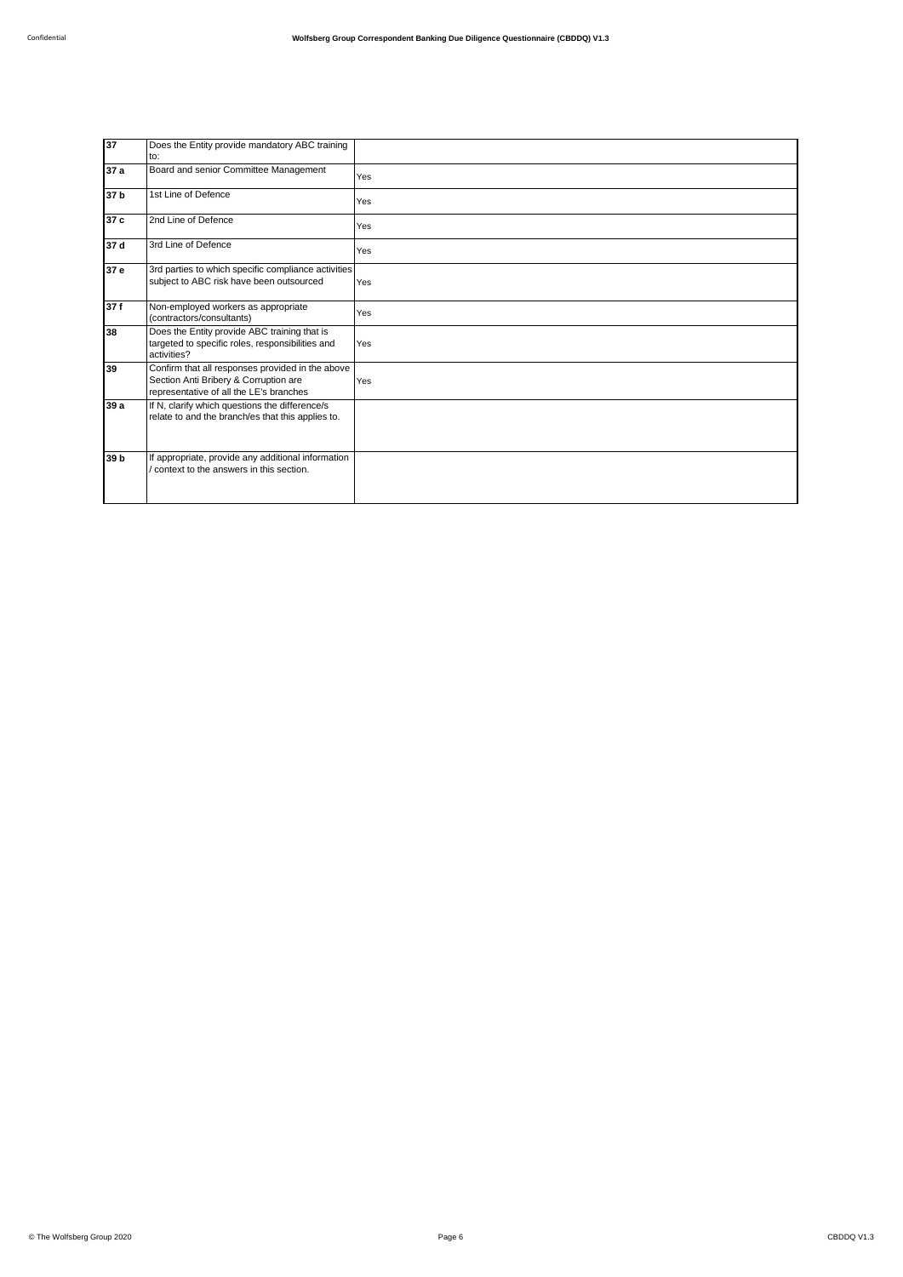| 37              | Does the Entity provide mandatory ABC training<br>to:                                                                                |     |
|-----------------|--------------------------------------------------------------------------------------------------------------------------------------|-----|
| 37 a            | Board and senior Committee Management                                                                                                | Yes |
| 37 b            | 1st Line of Defence                                                                                                                  | Yes |
| 37 c            | 2nd Line of Defence                                                                                                                  | Yes |
| 37d             | 3rd Line of Defence                                                                                                                  | Yes |
| 37e             | 3rd parties to which specific compliance activities<br>subject to ABC risk have been outsourced                                      | Yes |
| 37f             | Non-employed workers as appropriate<br>(contractors/consultants)                                                                     | Yes |
| 38              | Does the Entity provide ABC training that is<br>targeted to specific roles, responsibilities and<br>activities?                      | Yes |
| 39              | Confirm that all responses provided in the above<br>Section Anti Bribery & Corruption are<br>representative of all the LE's branches | Yes |
| 39 a            | If N, clarify which questions the difference/s<br>relate to and the branch/es that this applies to.                                  |     |
| 39 <sub>b</sub> | If appropriate, provide any additional information<br>context to the answers in this section.                                        |     |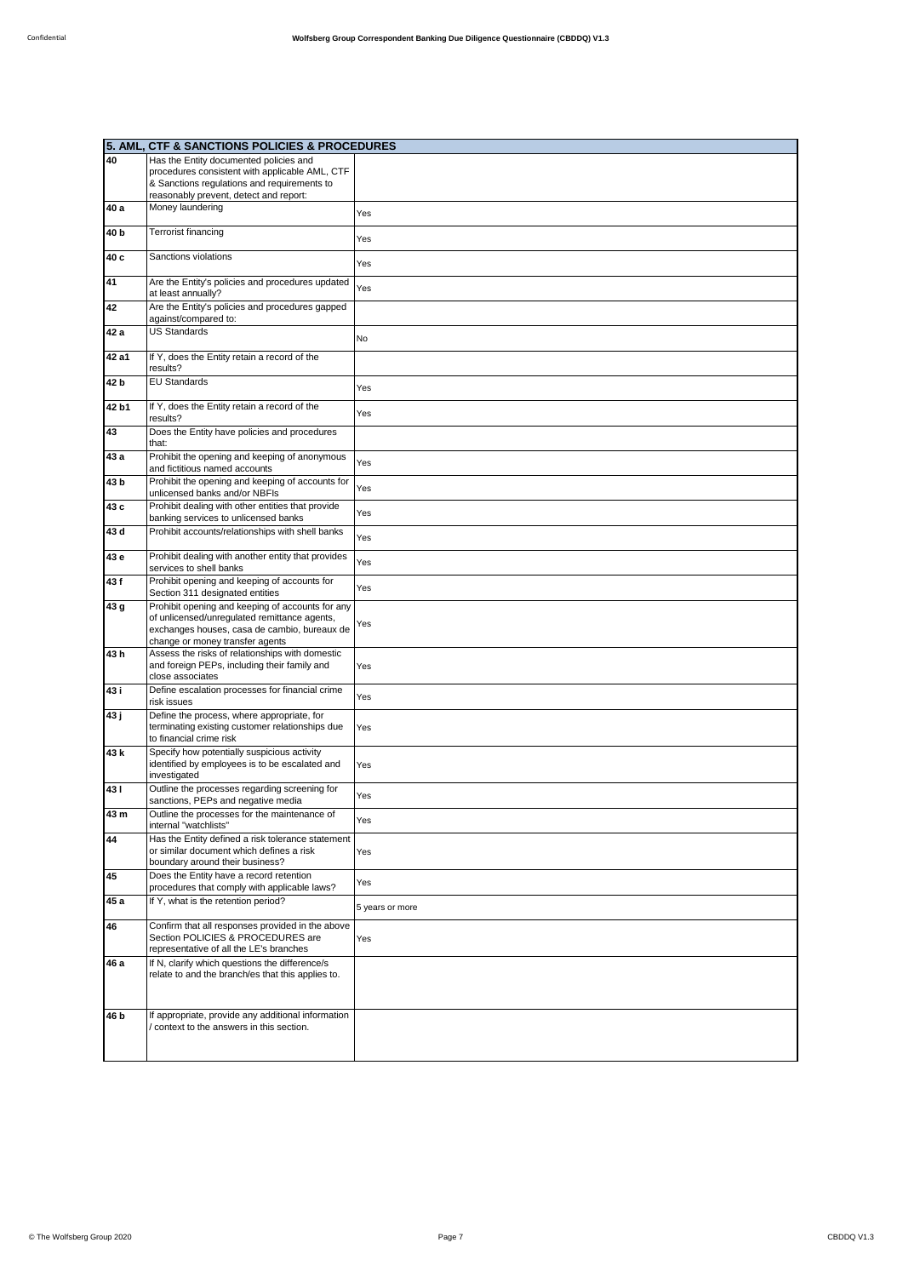| <b>5. AML,</b>  | <b>CTF &amp; SANCTIONS POLICIES &amp; PROCEDURES</b>                                                                |                 |
|-----------------|---------------------------------------------------------------------------------------------------------------------|-----------------|
| 40              | Has the Entity documented policies and                                                                              |                 |
|                 | procedures consistent with applicable AML, CTF                                                                      |                 |
|                 | & Sanctions regulations and requirements to                                                                         |                 |
| 40 a            | reasonably prevent, detect and report:<br>Money laundering                                                          |                 |
|                 |                                                                                                                     | Yes             |
| 40 <sub>b</sub> | <b>Terrorist financing</b>                                                                                          | Yes             |
| 40 c            | Sanctions violations                                                                                                | Yes             |
| 41              | Are the Entity's policies and procedures updated<br>at least annually?                                              | Yes             |
| 42              | Are the Entity's policies and procedures gapped<br>against/compared to:                                             |                 |
| 42 a            | <b>US Standards</b>                                                                                                 | No              |
| 42 a1           | If Y, does the Entity retain a record of the<br>results?                                                            |                 |
| 42 b            | <b>EU Standards</b>                                                                                                 | Yes             |
| 42 b1           | If Y, does the Entity retain a record of the                                                                        | Yes             |
| 43              | results?<br>Does the Entity have policies and procedures                                                            |                 |
| 43 a            | that:<br>Prohibit the opening and keeping of anonymous                                                              | Yes             |
| 43 b            | and fictitious named accounts<br>Prohibit the opening and keeping of accounts for                                   | Yes             |
| 43 c            | unlicensed banks and/or NBFIs<br>Prohibit dealing with other entities that provide                                  | Yes             |
| 43 d            | banking services to unlicensed banks<br>Prohibit accounts/relationships with shell banks                            | Yes             |
| 43 e            | Prohibit dealing with another entity that provides                                                                  |                 |
| 43f             | services to shell banks<br>Prohibit opening and keeping of accounts for                                             | Yes             |
| 43 g            | Section 311 designated entities<br>Prohibit opening and keeping of accounts for any                                 | Yes             |
|                 | of unlicensed/unregulated remittance agents,                                                                        |                 |
|                 | exchanges houses, casa de cambio, bureaux de<br>change or money transfer agents                                     | Yes             |
| 43 h            | Assess the risks of relationships with domestic<br>and foreign PEPs, including their family and<br>close associates | Yes             |
| 43 i            | Define escalation processes for financial crime<br>risk issues                                                      | Yes             |
| 43 ј            | Define the process, where appropriate, for                                                                          |                 |
|                 | terminating existing customer relationships due<br>to financial crime risk                                          | Yes             |
| 43 k            | Specify how potentially suspicious activity                                                                         |                 |
|                 | identified by employees is to be escalated and<br>investigated                                                      | Yes             |
| 431             | Outline the processes regarding screening for                                                                       |                 |
| 43 m            | sanctions, PEPs and negative media<br>Outline the processes for the maintenance of                                  | Yes             |
| 44              | internal "watchlists"<br>Has the Entity defined a risk tolerance statement                                          | Yes             |
|                 | or similar document which defines a risk<br>boundary around their business?                                         | Yes             |
| 45              | Does the Entity have a record retention<br>procedures that comply with applicable laws?                             | Yes             |
| 45 a            | If Y, what is the retention period?                                                                                 | 5 years or more |
| 46              | Confirm that all responses provided in the above                                                                    |                 |
|                 | Section POLICIES & PROCEDURES are<br>representative of all the LE's branches                                        | Yes             |
| 46 a            | If N, clarify which questions the difference/s                                                                      |                 |
|                 | relate to and the branch/es that this applies to.                                                                   |                 |
| 46 b            | If appropriate, provide any additional information                                                                  |                 |
|                 | context to the answers in this section.                                                                             |                 |
|                 |                                                                                                                     |                 |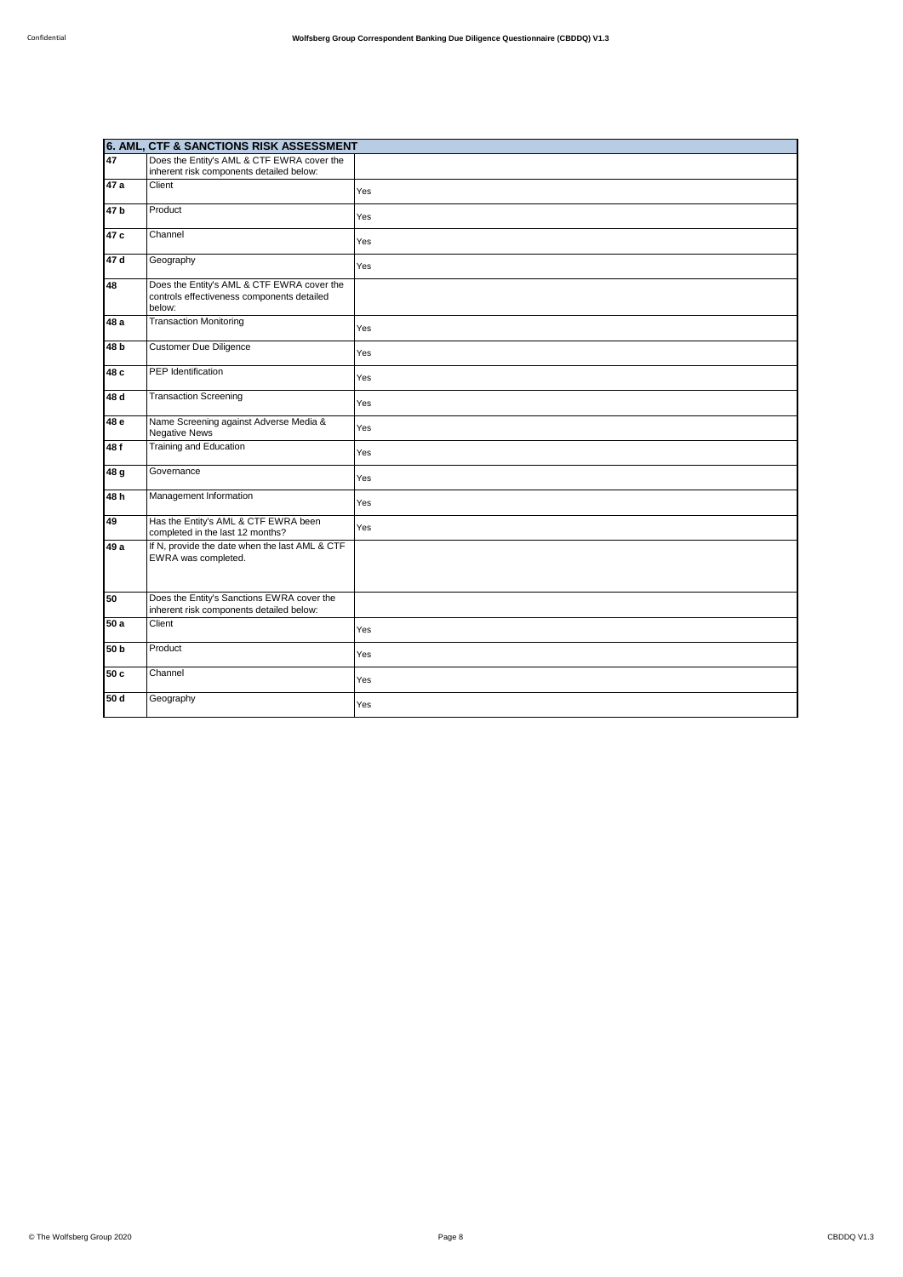|                 | 6. AML, CTF & SANCTIONS RISK ASSESSMENT                                                            |     |
|-----------------|----------------------------------------------------------------------------------------------------|-----|
| 47              | Does the Entity's AML & CTF EWRA cover the<br>inherent risk components detailed below:             |     |
| 47 a            | Client                                                                                             | Yes |
| 47 <sub>b</sub> | Product                                                                                            | Yes |
| 47c             | Channel                                                                                            | Yes |
| 47 d            | Geography                                                                                          | Yes |
| 48              | Does the Entity's AML & CTF EWRA cover the<br>controls effectiveness components detailed<br>below: |     |
| 48 a            | <b>Transaction Monitoring</b>                                                                      | Yes |
| 48 <sub>b</sub> | <b>Customer Due Diligence</b>                                                                      | Yes |
| 48 c            | PEP Identification                                                                                 | Yes |
| 48 d            | <b>Transaction Screening</b>                                                                       | Yes |
| 48 e            | Name Screening against Adverse Media &<br><b>Negative News</b>                                     | Yes |
| 48f             | Training and Education                                                                             | Yes |
| 48 g            | Governance                                                                                         | Yes |
| 48 h            | Management Information                                                                             | Yes |
| 49              | Has the Entity's AML & CTF EWRA been<br>completed in the last 12 months?                           | Yes |
| 49 a            | If N, provide the date when the last AML & CTF<br>EWRA was completed.                              |     |
| 50              | Does the Entity's Sanctions EWRA cover the<br>inherent risk components detailed below:             |     |
| 50a             | Client                                                                                             | Yes |
| 50 b            | Product                                                                                            | Yes |
| 50 c            | Channel                                                                                            | Yes |
| 50d             | Geography                                                                                          | Yes |
|                 |                                                                                                    |     |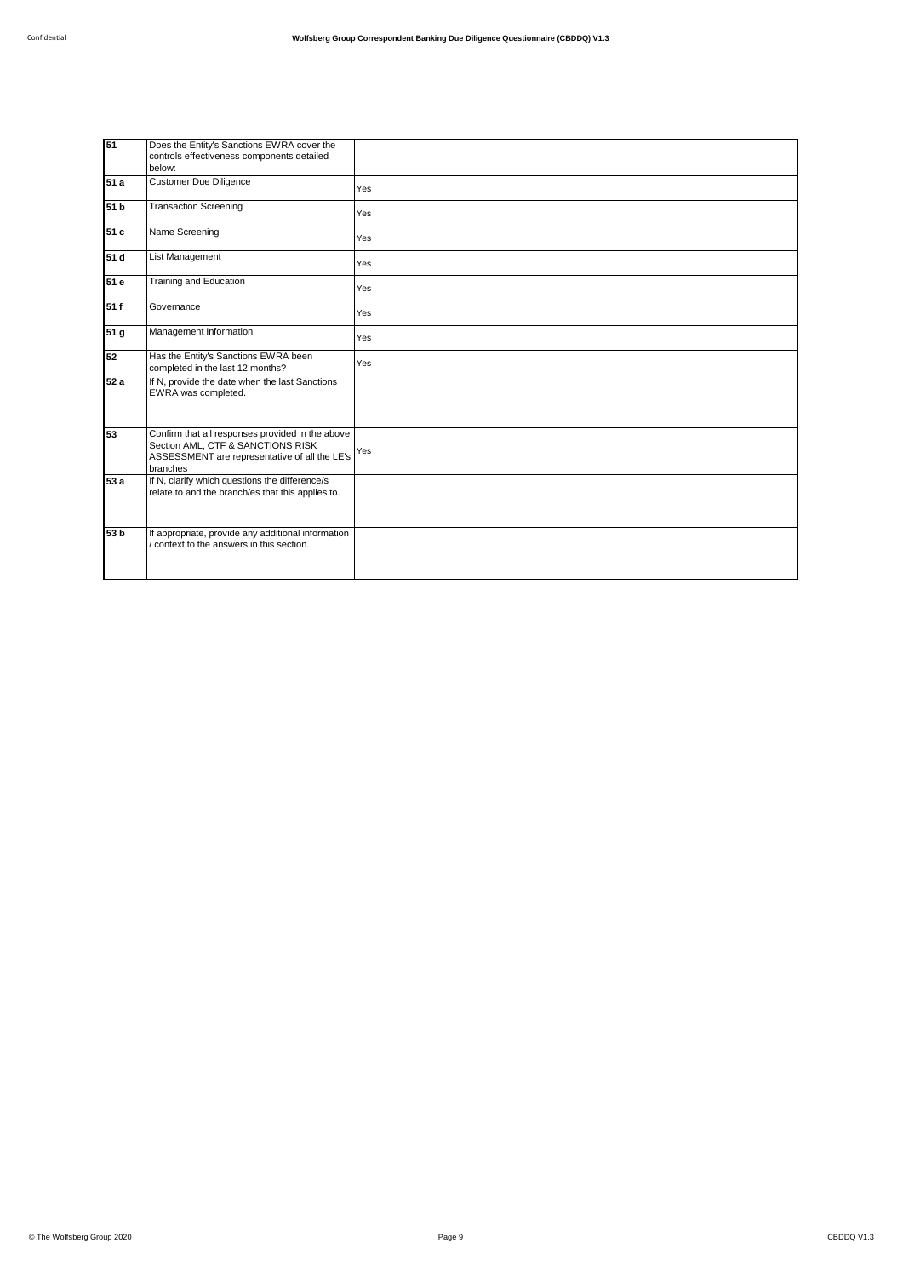| 51   | Does the Entity's Sanctions EWRA cover the<br>controls effectiveness components detailed<br>below:                                                 |     |
|------|----------------------------------------------------------------------------------------------------------------------------------------------------|-----|
| 51 a | <b>Customer Due Diligence</b>                                                                                                                      | Yes |
| 51 b | <b>Transaction Screening</b>                                                                                                                       | Yes |
| 51 c | Name Screening                                                                                                                                     | Yes |
| 51 d | List Management                                                                                                                                    | Yes |
| 51e  | <b>Training and Education</b>                                                                                                                      | Yes |
| 51f  | Governance                                                                                                                                         | Yes |
| 51 g | Management Information                                                                                                                             | Yes |
| 52   | Has the Entity's Sanctions EWRA been<br>completed in the last 12 months?                                                                           | Yes |
| 52 a | If N, provide the date when the last Sanctions<br>EWRA was completed.                                                                              |     |
| 53   | Confirm that all responses provided in the above<br>Section AML, CTF & SANCTIONS RISK<br>ASSESSMENT are representative of all the LE's<br>branches | Yes |
| 53 a | If N, clarify which questions the difference/s<br>relate to and the branch/es that this applies to.                                                |     |
| 53 b | If appropriate, provide any additional information<br>context to the answers in this section.                                                      |     |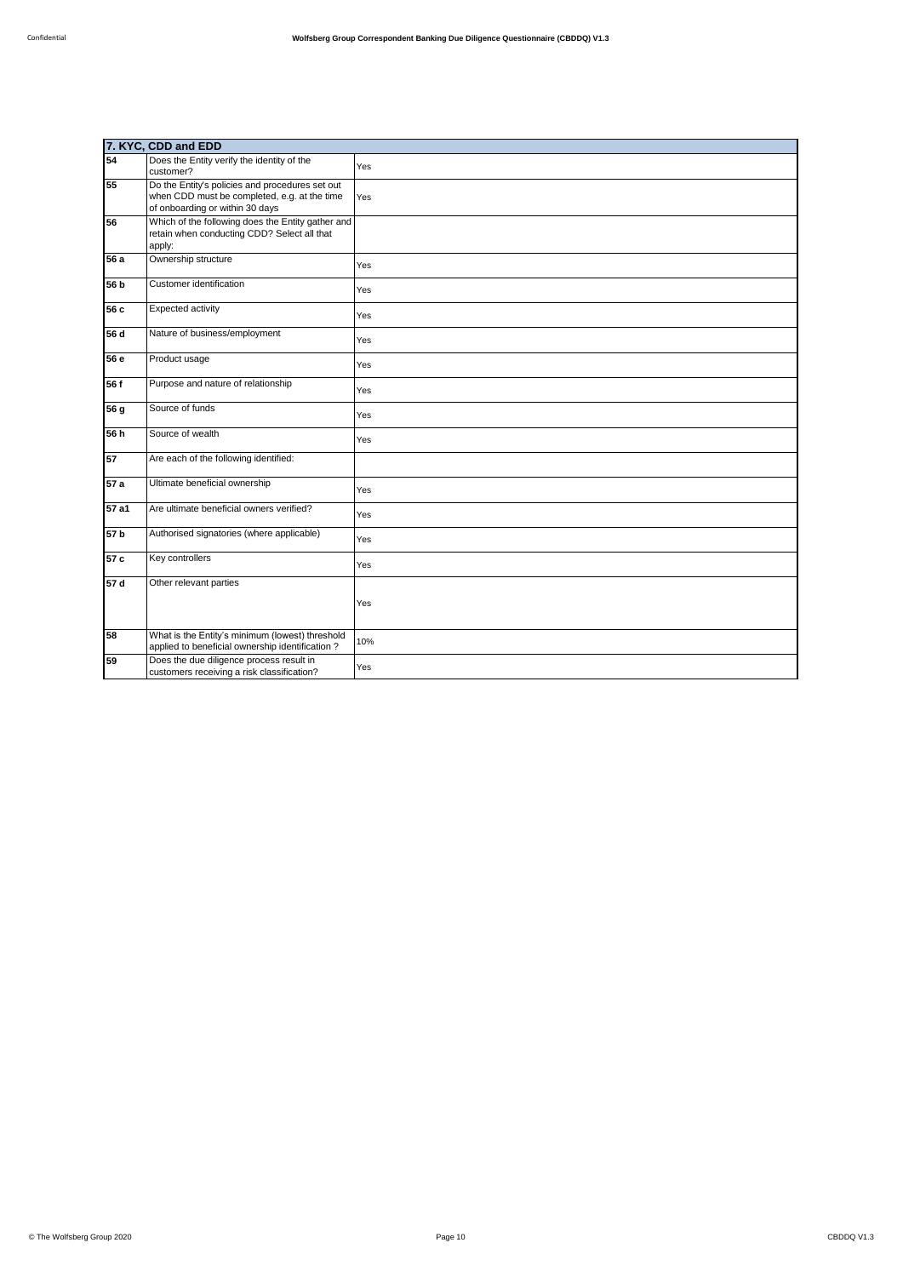|                 | 7. KYC, CDD and EDD                                                                                                                |     |
|-----------------|------------------------------------------------------------------------------------------------------------------------------------|-----|
| 54              | Does the Entity verify the identity of the<br>customer?                                                                            | Yes |
| 55              | Do the Entity's policies and procedures set out<br>when CDD must be completed, e.g. at the time<br>of onboarding or within 30 days | Yes |
| 56              | Which of the following does the Entity gather and<br>retain when conducting CDD? Select all that<br>apply:                         |     |
| 56 a            | Ownership structure                                                                                                                | Yes |
| 56 <sub>b</sub> | Customer identification                                                                                                            | Yes |
| 56 c            | Expected activity                                                                                                                  | Yes |
| 56 d            | Nature of business/employment                                                                                                      | Yes |
| 56 e            | Product usage                                                                                                                      | Yes |
| 56 f            | Purpose and nature of relationship                                                                                                 | Yes |
| 56 g            | Source of funds                                                                                                                    | Yes |
| 56 h            | Source of wealth                                                                                                                   | Yes |
| 57              | Are each of the following identified:                                                                                              |     |
| 57a             | Ultimate beneficial ownership                                                                                                      | Yes |
| 57 a1           | Are ultimate beneficial owners verified?                                                                                           | Yes |
| 57 <sub>b</sub> | Authorised signatories (where applicable)                                                                                          | Yes |
| 57 c            | Key controllers                                                                                                                    | Yes |
| 57d             | Other relevant parties                                                                                                             | Yes |
| 58              | What is the Entity's minimum (lowest) threshold<br>applied to beneficial ownership identification?                                 | 10% |
| 59              | Does the due diligence process result in<br>customers receiving a risk classification?                                             | Yes |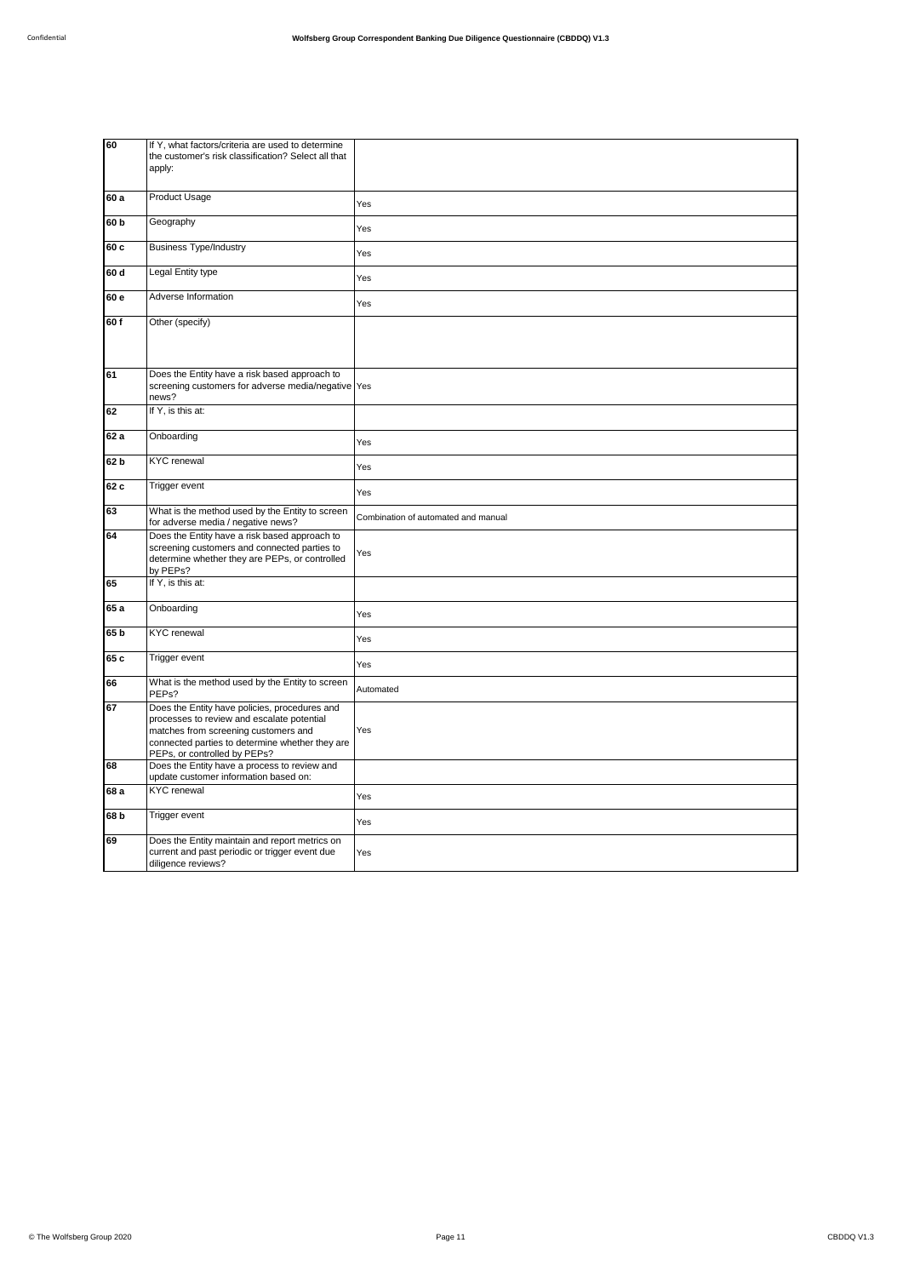| 60              | If Y, what factors/criteria are used to determine<br>the customer's risk classification? Select all that<br>apply:                                                                                                     |                                     |
|-----------------|------------------------------------------------------------------------------------------------------------------------------------------------------------------------------------------------------------------------|-------------------------------------|
| 60a             | Product Usage                                                                                                                                                                                                          | Yes                                 |
| 60 b            | Geography                                                                                                                                                                                                              | Yes                                 |
| 60 c            | <b>Business Type/Industry</b>                                                                                                                                                                                          | Yes                                 |
| 60 d            | Legal Entity type                                                                                                                                                                                                      | Yes                                 |
| 60 e            | Adverse Information                                                                                                                                                                                                    | Yes                                 |
| 60f             | Other (specify)                                                                                                                                                                                                        |                                     |
| 61              | Does the Entity have a risk based approach to<br>screening customers for adverse media/negative Yes<br>news?                                                                                                           |                                     |
| 62              | If Y, is this at:                                                                                                                                                                                                      |                                     |
| 62a             | Onboarding                                                                                                                                                                                                             | Yes                                 |
| 62 b            | <b>KYC</b> renewal                                                                                                                                                                                                     | Yes                                 |
| 62 c            | Trigger event                                                                                                                                                                                                          | Yes                                 |
| 63              | What is the method used by the Entity to screen<br>for adverse media / negative news?                                                                                                                                  | Combination of automated and manual |
| 64              | Does the Entity have a risk based approach to<br>screening customers and connected parties to<br>determine whether they are PEPs, or controlled<br>by PEPs?                                                            | Yes                                 |
| 65              | If Y, is this at:                                                                                                                                                                                                      |                                     |
| 65 a            | Onboarding                                                                                                                                                                                                             | Yes                                 |
| 65 b            | <b>KYC</b> renewal                                                                                                                                                                                                     | Yes                                 |
| 65 c            | Trigger event                                                                                                                                                                                                          | Yes                                 |
| 66              | What is the method used by the Entity to screen<br>PEP <sub>s</sub> ?                                                                                                                                                  | Automated                           |
| 67              | Does the Entity have policies, procedures and<br>processes to review and escalate potential<br>matches from screening customers and<br>connected parties to determine whether they are<br>PEPs, or controlled by PEPs? | Yes                                 |
| 68              | Does the Entity have a process to review and<br>update customer information based on:                                                                                                                                  |                                     |
| 68 a            | <b>KYC</b> renewal                                                                                                                                                                                                     | Yes                                 |
| 68 <sub>b</sub> | Trigger event                                                                                                                                                                                                          | Yes                                 |
| 69              | Does the Entity maintain and report metrics on<br>current and past periodic or trigger event due<br>diligence reviews?                                                                                                 | Yes                                 |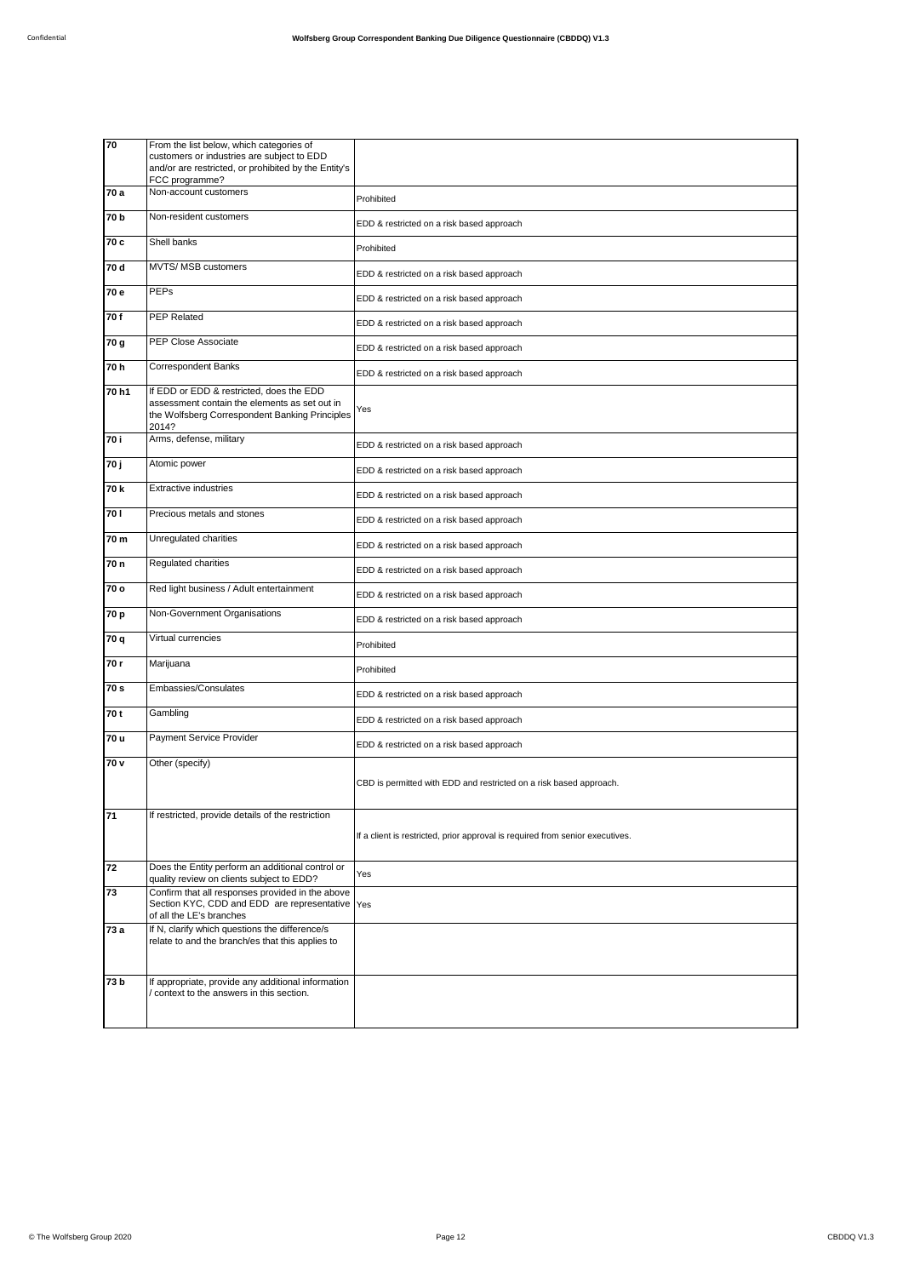| 70              | From the list below, which categories of                                                                                                             |                                                                               |
|-----------------|------------------------------------------------------------------------------------------------------------------------------------------------------|-------------------------------------------------------------------------------|
|                 | customers or industries are subject to EDD<br>and/or are restricted, or prohibited by the Entity's                                                   |                                                                               |
|                 | FCC programme?                                                                                                                                       |                                                                               |
| 70 a            | Non-account customers                                                                                                                                | Prohibited                                                                    |
| 70 b            | Non-resident customers                                                                                                                               | EDD & restricted on a risk based approach                                     |
| 70 c            | Shell banks                                                                                                                                          | Prohibited                                                                    |
| 70 d            | MVTS/ MSB customers                                                                                                                                  | EDD & restricted on a risk based approach                                     |
| 70 e            | PEPs                                                                                                                                                 | EDD & restricted on a risk based approach                                     |
| 70f             | <b>PEP Related</b>                                                                                                                                   | EDD & restricted on a risk based approach                                     |
| 70 g            | <b>PEP Close Associate</b>                                                                                                                           | EDD & restricted on a risk based approach                                     |
| 70h             | <b>Correspondent Banks</b>                                                                                                                           | EDD & restricted on a risk based approach                                     |
| 70 h1           | If EDD or EDD & restricted, does the EDD<br>assessment contain the elements as set out in<br>the Wolfsberg Correspondent Banking Principles<br>2014? | Yes                                                                           |
| 70 i            | Arms, defense, military                                                                                                                              | EDD & restricted on a risk based approach                                     |
| 70 j            | Atomic power                                                                                                                                         | EDD & restricted on a risk based approach                                     |
| 70 k            | <b>Extractive industries</b>                                                                                                                         | EDD & restricted on a risk based approach                                     |
| 701             | Precious metals and stones                                                                                                                           | EDD & restricted on a risk based approach                                     |
| 70 m            | Unregulated charities                                                                                                                                | EDD & restricted on a risk based approach                                     |
| 70 n            | Regulated charities                                                                                                                                  | EDD & restricted on a risk based approach                                     |
| 70 o            | Red light business / Adult entertainment                                                                                                             | EDD & restricted on a risk based approach                                     |
| 70 p            | Non-Government Organisations                                                                                                                         | EDD & restricted on a risk based approach                                     |
| 70 q            | Virtual currencies                                                                                                                                   | Prohibited                                                                    |
| 70 r            | Marijuana                                                                                                                                            | Prohibited                                                                    |
| 70 s            | Embassies/Consulates                                                                                                                                 | EDD & restricted on a risk based approach                                     |
| 70 t            | Gambling                                                                                                                                             | EDD & restricted on a risk based approach                                     |
| 70 u            | Payment Service Provider                                                                                                                             | EDD & restricted on a risk based approach                                     |
| 70 v            | Other (specify)                                                                                                                                      | CBD is permitted with EDD and restricted on a risk based approach.            |
| $\overline{71}$ | If restricted, provide details of the restriction                                                                                                    | If a client is restricted, prior approval is required from senior executives. |
| 72              | Does the Entity perform an additional control or<br>quality review on clients subject to EDD?                                                        | Yes                                                                           |
| 73              | Confirm that all responses provided in the above<br>Section KYC, CDD and EDD are representative Yes<br>of all the LE's branches                      |                                                                               |
| 73a             | If N, clarify which questions the difference/s<br>relate to and the branch/es that this applies to                                                   |                                                                               |
| 73 b            | If appropriate, provide any additional information<br>context to the answers in this section.                                                        |                                                                               |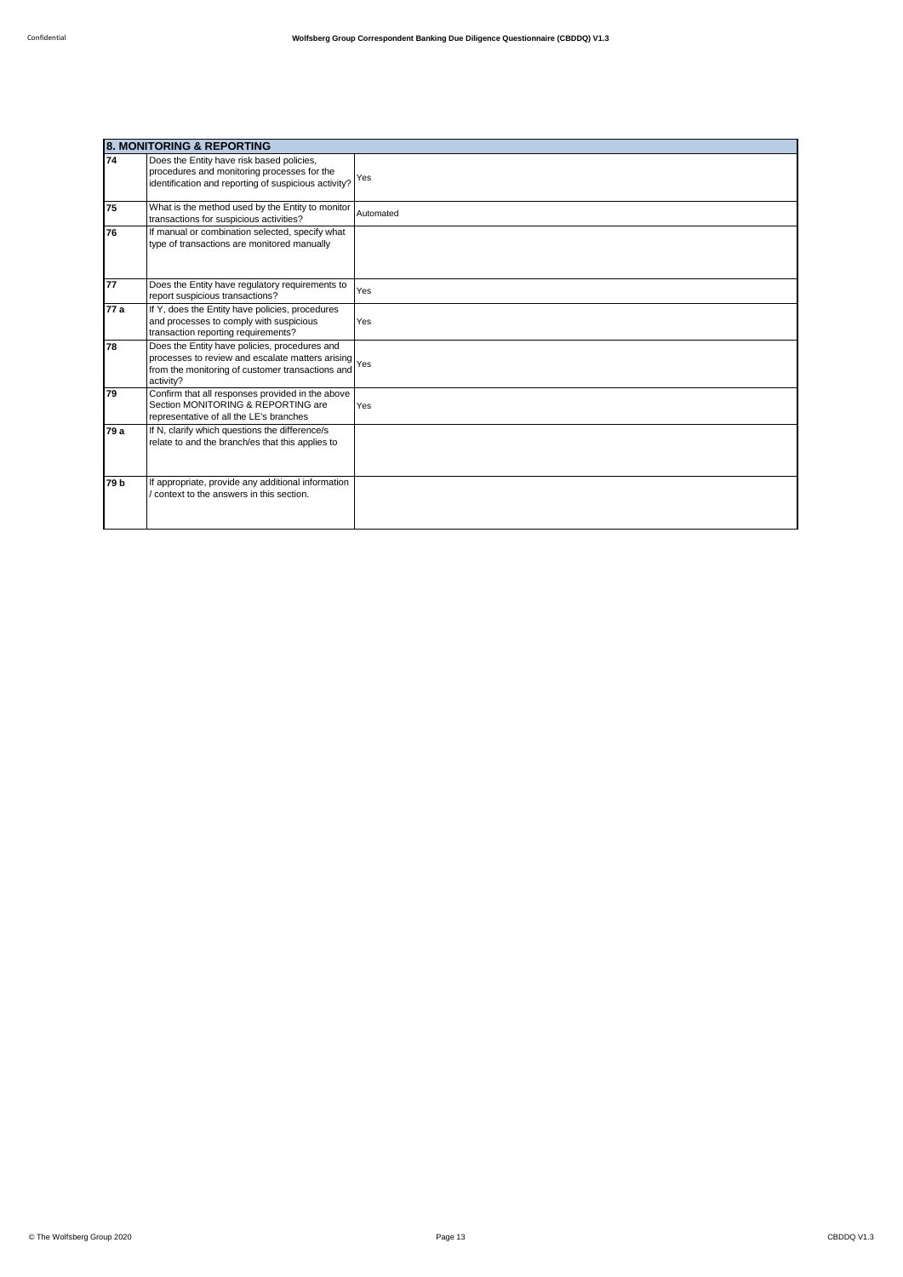|      | <b>8. MONITORING &amp; REPORTING</b>                                                                                                                                   |           |  |
|------|------------------------------------------------------------------------------------------------------------------------------------------------------------------------|-----------|--|
| 74   | Does the Entity have risk based policies,<br>procedures and monitoring processes for the<br>identification and reporting of suspicious activity?                       | Yes       |  |
| 75   | What is the method used by the Entity to monitor<br>transactions for suspicious activities?                                                                            | Automated |  |
| 76   | If manual or combination selected, specify what<br>type of transactions are monitored manually                                                                         |           |  |
| 77   | Does the Entity have regulatory requirements to<br>report suspicious transactions?                                                                                     | Yes       |  |
| 77 a | If Y, does the Entity have policies, procedures<br>and processes to comply with suspicious<br>transaction reporting requirements?                                      | Yes       |  |
| 78   | Does the Entity have policies, procedures and<br>processes to review and escalate matters arising Yes<br>from the monitoring of customer transactions and<br>activity? |           |  |
| 79   | Confirm that all responses provided in the above<br>Section MONITORING & REPORTING are<br>representative of all the LE's branches                                      | Yes       |  |
| 79 a | If N, clarify which questions the difference/s<br>relate to and the branch/es that this applies to                                                                     |           |  |
| 79 b | If appropriate, provide any additional information<br>context to the answers in this section.                                                                          |           |  |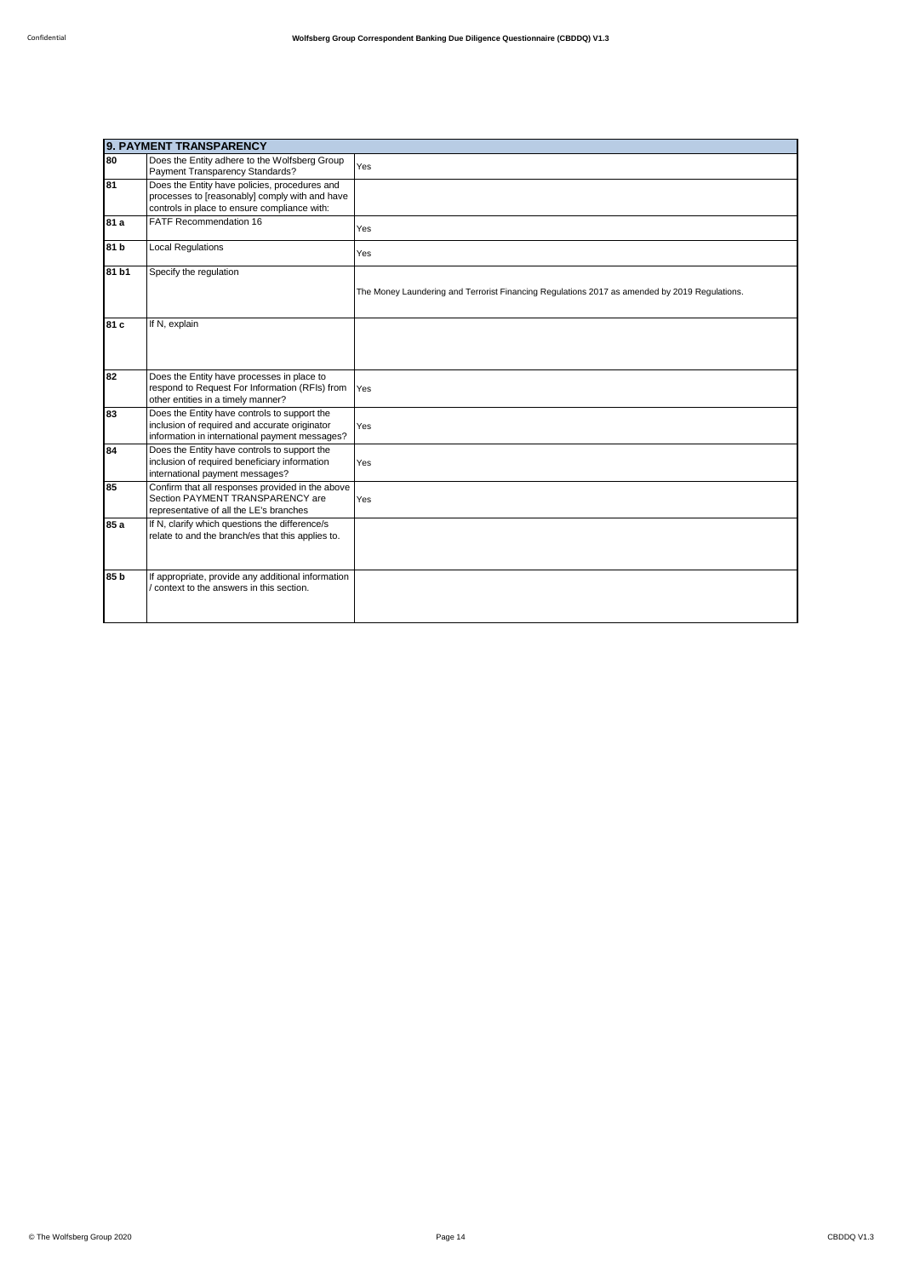|                 | 9. PAYMENT TRANSPARENCY                                                                                                                         |                                                                                               |  |
|-----------------|-------------------------------------------------------------------------------------------------------------------------------------------------|-----------------------------------------------------------------------------------------------|--|
| 80              | Does the Entity adhere to the Wolfsberg Group<br>Payment Transparency Standards?                                                                | Yes                                                                                           |  |
| 81              | Does the Entity have policies, procedures and<br>processes to [reasonably] comply with and have<br>controls in place to ensure compliance with: |                                                                                               |  |
| 81 a            | <b>FATF Recommendation 16</b>                                                                                                                   | Yes                                                                                           |  |
| 81 b            | <b>Local Regulations</b>                                                                                                                        | Yes                                                                                           |  |
| 81 b1           | Specify the regulation                                                                                                                          | The Money Laundering and Terrorist Financing Regulations 2017 as amended by 2019 Regulations. |  |
| 81 c            | If N, explain                                                                                                                                   |                                                                                               |  |
| 82              | Does the Entity have processes in place to<br>respond to Request For Information (RFIs) from<br>other entities in a timely manner?              | Yes                                                                                           |  |
| 83              | Does the Entity have controls to support the<br>inclusion of required and accurate originator<br>information in international payment messages? | Yes                                                                                           |  |
| 84              | Does the Entity have controls to support the<br>inclusion of required beneficiary information<br>international payment messages?                | Yes                                                                                           |  |
| 85              | Confirm that all responses provided in the above<br>Section PAYMENT TRANSPARENCY are<br>representative of all the LE's branches                 | Yes                                                                                           |  |
| 85 a            | If N, clarify which questions the difference/s<br>relate to and the branch/es that this applies to.                                             |                                                                                               |  |
| 85 <sub>b</sub> | If appropriate, provide any additional information<br>context to the answers in this section.                                                   |                                                                                               |  |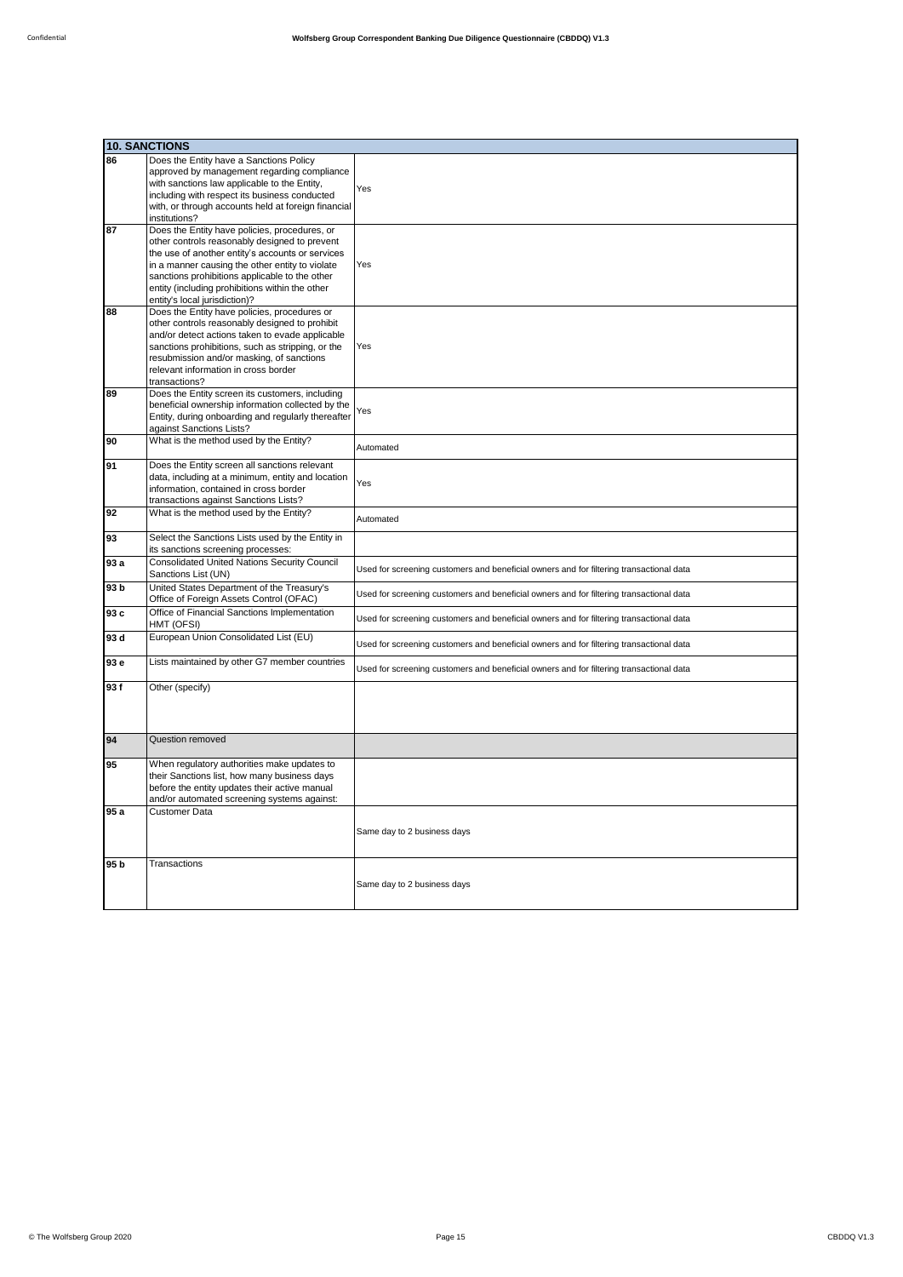|      | <b>10. SANCTIONS</b>                                                                                                                                                                                                                                                                                                                        |                                                                                         |
|------|---------------------------------------------------------------------------------------------------------------------------------------------------------------------------------------------------------------------------------------------------------------------------------------------------------------------------------------------|-----------------------------------------------------------------------------------------|
| 86   | Does the Entity have a Sanctions Policy<br>approved by management regarding compliance<br>with sanctions law applicable to the Entity,<br>including with respect its business conducted<br>with, or through accounts held at foreign financial<br>institutions?                                                                             | Yes                                                                                     |
| 87   | Does the Entity have policies, procedures, or<br>other controls reasonably designed to prevent<br>the use of another entity's accounts or services<br>in a manner causing the other entity to violate<br>sanctions prohibitions applicable to the other<br>entity (including prohibitions within the other<br>entity's local jurisdiction)? | Yes                                                                                     |
| 88   | Does the Entity have policies, procedures or<br>other controls reasonably designed to prohibit<br>and/or detect actions taken to evade applicable<br>sanctions prohibitions, such as stripping, or the<br>resubmission and/or masking, of sanctions<br>relevant information in cross border<br>transactions?                                | Yes                                                                                     |
| 89   | Does the Entity screen its customers, including<br>beneficial ownership information collected by the<br>Entity, during onboarding and regularly thereafter<br>against Sanctions Lists?                                                                                                                                                      | Yes                                                                                     |
| 90   | What is the method used by the Entity?                                                                                                                                                                                                                                                                                                      | Automated                                                                               |
| 91   | Does the Entity screen all sanctions relevant<br>data, including at a minimum, entity and location<br>information, contained in cross border<br>transactions against Sanctions Lists?                                                                                                                                                       | Yes                                                                                     |
| 92   | What is the method used by the Entity?                                                                                                                                                                                                                                                                                                      | Automated                                                                               |
| 93   | Select the Sanctions Lists used by the Entity in<br>its sanctions screening processes:                                                                                                                                                                                                                                                      |                                                                                         |
| 93 a | <b>Consolidated United Nations Security Council</b><br>Sanctions List (UN)                                                                                                                                                                                                                                                                  | Used for screening customers and beneficial owners and for filtering transactional data |
| 93 b | United States Department of the Treasury's<br>Office of Foreign Assets Control (OFAC)                                                                                                                                                                                                                                                       | Used for screening customers and beneficial owners and for filtering transactional data |
| 93 c | Office of Financial Sanctions Implementation<br>HMT (OFSI)                                                                                                                                                                                                                                                                                  | Used for screening customers and beneficial owners and for filtering transactional data |
| 93 d | European Union Consolidated List (EU)                                                                                                                                                                                                                                                                                                       | Used for screening customers and beneficial owners and for filtering transactional data |
| 93 e | Lists maintained by other G7 member countries                                                                                                                                                                                                                                                                                               | Used for screening customers and beneficial owners and for filtering transactional data |
| 93f  | Other (specify)                                                                                                                                                                                                                                                                                                                             |                                                                                         |
| 94   | Question removed                                                                                                                                                                                                                                                                                                                            |                                                                                         |
| 95   | When regulatory authorities make updates to<br>their Sanctions list, how many business days<br>before the entity updates their active manual<br>and/or automated screening systems against:                                                                                                                                                 |                                                                                         |
| 95 a | <b>Customer Data</b>                                                                                                                                                                                                                                                                                                                        | Same day to 2 business days                                                             |
| 95 b | Transactions                                                                                                                                                                                                                                                                                                                                | Same day to 2 business days                                                             |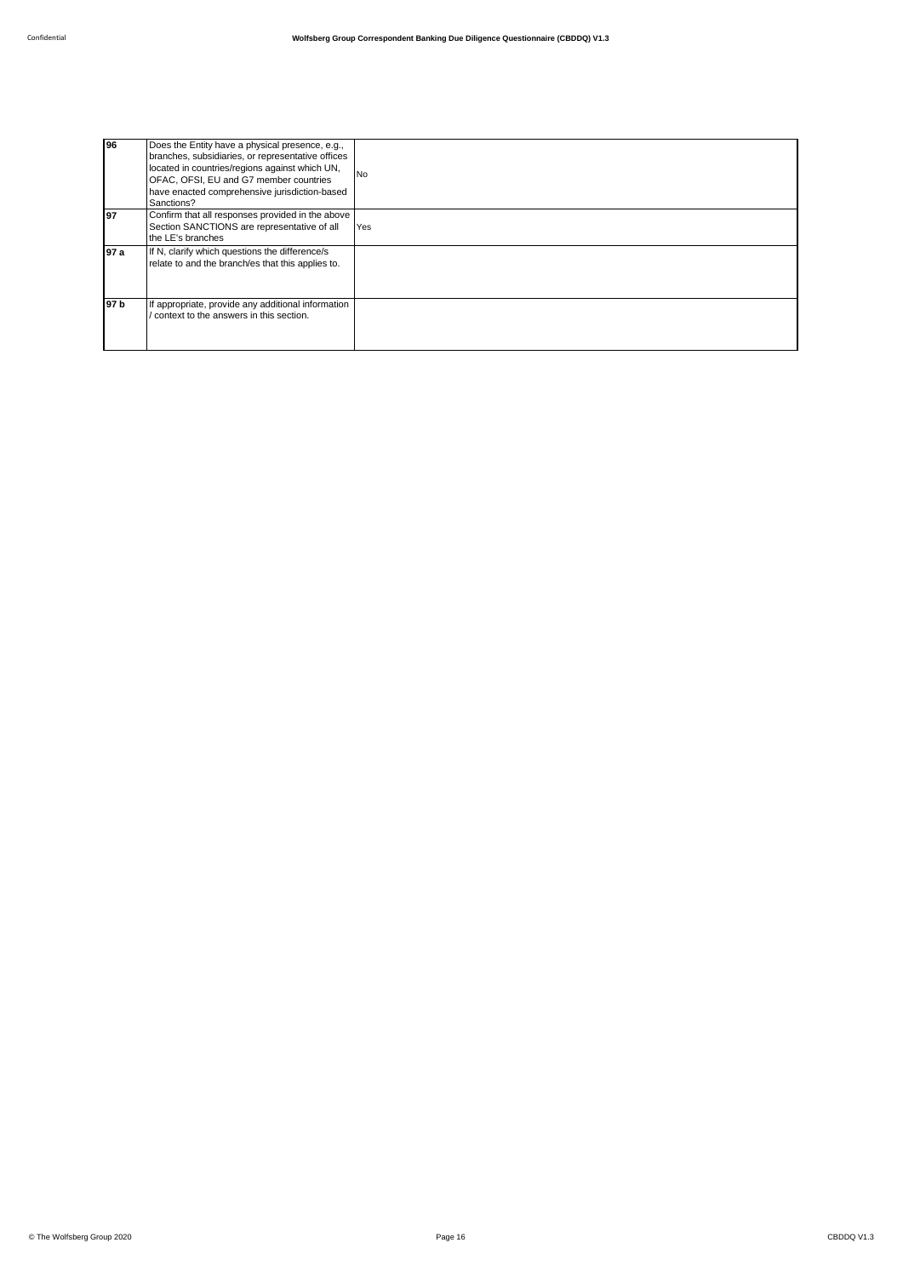| 96   | Does the Entity have a physical presence, e.g.,<br>branches, subsidiaries, or representative offices<br>located in countries/regions against which UN,<br>OFAC, OFSI, EU and G7 member countries<br>have enacted comprehensive jurisdiction-based<br>Sanctions? | <b>No</b> |
|------|-----------------------------------------------------------------------------------------------------------------------------------------------------------------------------------------------------------------------------------------------------------------|-----------|
| l97  | Confirm that all responses provided in the above<br>Section SANCTIONS are representative of all<br>the LE's branches                                                                                                                                            | Yes       |
| 97 a | If N, clarify which questions the difference/s<br>relate to and the branch/es that this applies to.                                                                                                                                                             |           |
| 97 b | If appropriate, provide any additional information<br>context to the answers in this section.                                                                                                                                                                   |           |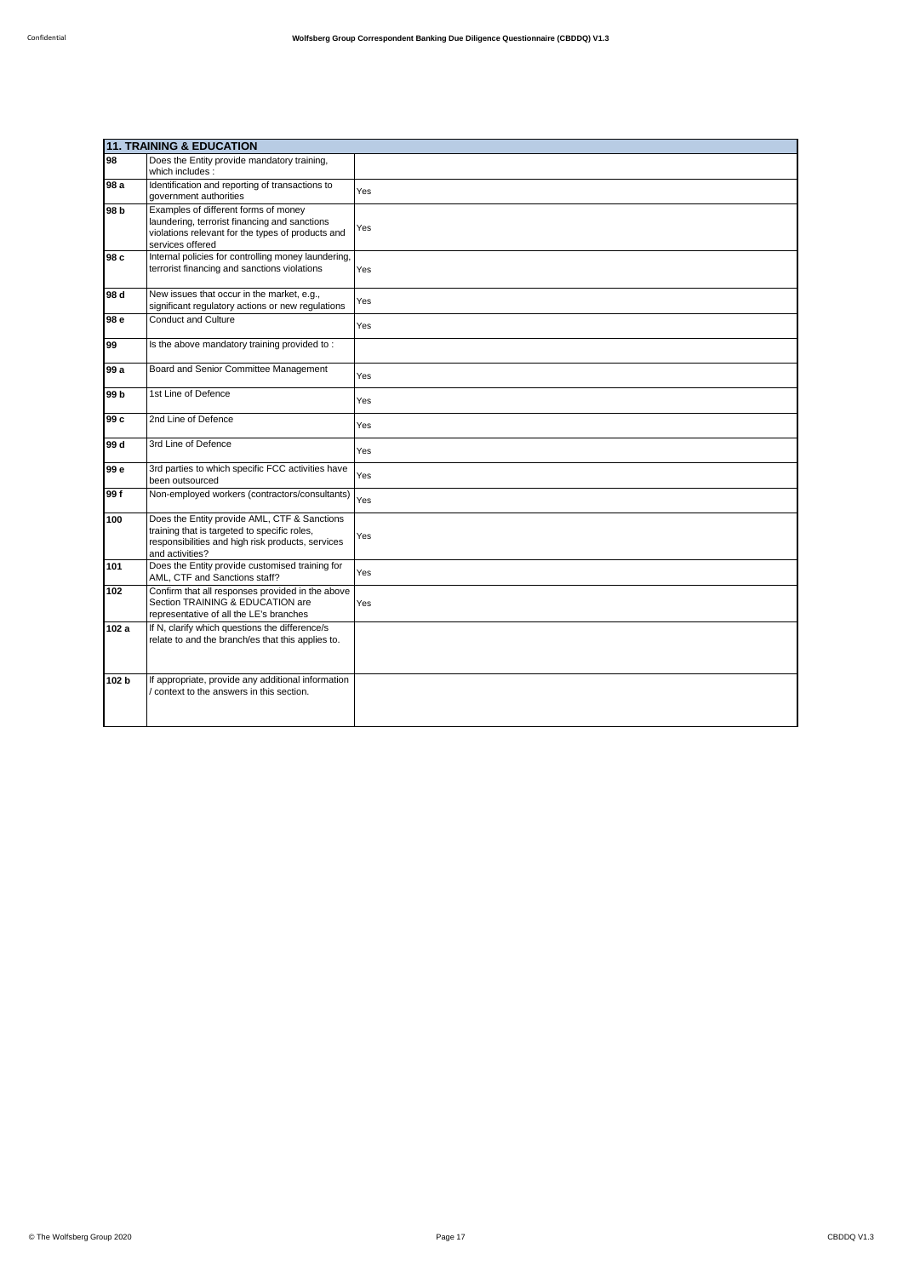|       | <b>11. TRAINING &amp; EDUCATION</b>                                                                                                                                  |     |  |
|-------|----------------------------------------------------------------------------------------------------------------------------------------------------------------------|-----|--|
| 98    | Does the Entity provide mandatory training,<br>which includes :                                                                                                      |     |  |
| 98 a  | Identification and reporting of transactions to<br>government authorities                                                                                            | Yes |  |
| 98 b  | Examples of different forms of money<br>laundering, terrorist financing and sanctions<br>violations relevant for the types of products and<br>services offered       | Yes |  |
| 98 c  | Internal policies for controlling money laundering,<br>terrorist financing and sanctions violations                                                                  | Yes |  |
| 98 d  | New issues that occur in the market, e.g.,<br>significant regulatory actions or new regulations                                                                      | Yes |  |
| 98 e  | <b>Conduct and Culture</b>                                                                                                                                           | Yes |  |
| 99    | Is the above mandatory training provided to:                                                                                                                         |     |  |
| 99 a  | Board and Senior Committee Management                                                                                                                                | Yes |  |
| 99 b  | 1st Line of Defence                                                                                                                                                  | Yes |  |
| 99 c  | 2nd Line of Defence                                                                                                                                                  | Yes |  |
| 99 d  | 3rd Line of Defence                                                                                                                                                  | Yes |  |
| 99 e  | 3rd parties to which specific FCC activities have<br>been outsourced                                                                                                 | Yes |  |
| 99f   | Non-employed workers (contractors/consultants)                                                                                                                       | Yes |  |
| 100   | Does the Entity provide AML, CTF & Sanctions<br>training that is targeted to specific roles,<br>responsibilities and high risk products, services<br>and activities? | Yes |  |
| 101   | Does the Entity provide customised training for<br>AML, CTF and Sanctions staff?                                                                                     | Yes |  |
| 102   | Confirm that all responses provided in the above<br>Section TRAINING & EDUCATION are<br>representative of all the LE's branches                                      | Yes |  |
| 102 a | If N, clarify which questions the difference/s<br>relate to and the branch/es that this applies to.                                                                  |     |  |
| 102 b | If appropriate, provide any additional information<br>context to the answers in this section.                                                                        |     |  |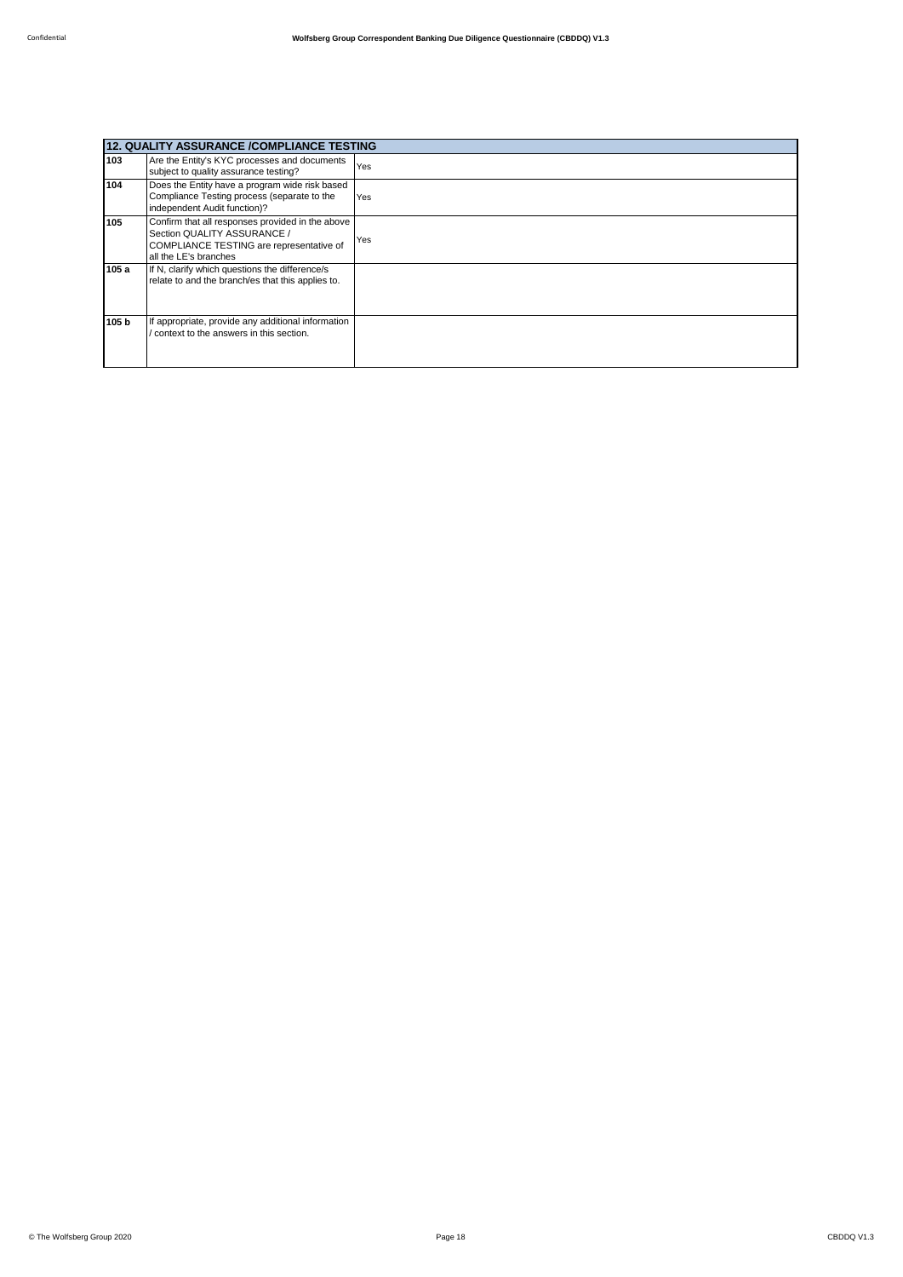| 12. QUALITY ASSURANCE /COMPLIANCE TESTING |                                                                                                                                                      |     |
|-------------------------------------------|------------------------------------------------------------------------------------------------------------------------------------------------------|-----|
| 103                                       | Are the Entity's KYC processes and documents<br>subject to quality assurance testing?                                                                | Yes |
| 104                                       | Does the Entity have a program wide risk based<br>Compliance Testing process (separate to the<br>independent Audit function)?                        | Yes |
| 105                                       | Confirm that all responses provided in the above<br>Section QUALITY ASSURANCE /<br>COMPLIANCE TESTING are representative of<br>all the LE's branches | Yes |
| 105 a                                     | If N, clarify which questions the difference/s<br>relate to and the branch/es that this applies to.                                                  |     |
| 105 b                                     | If appropriate, provide any additional information<br>context to the answers in this section.                                                        |     |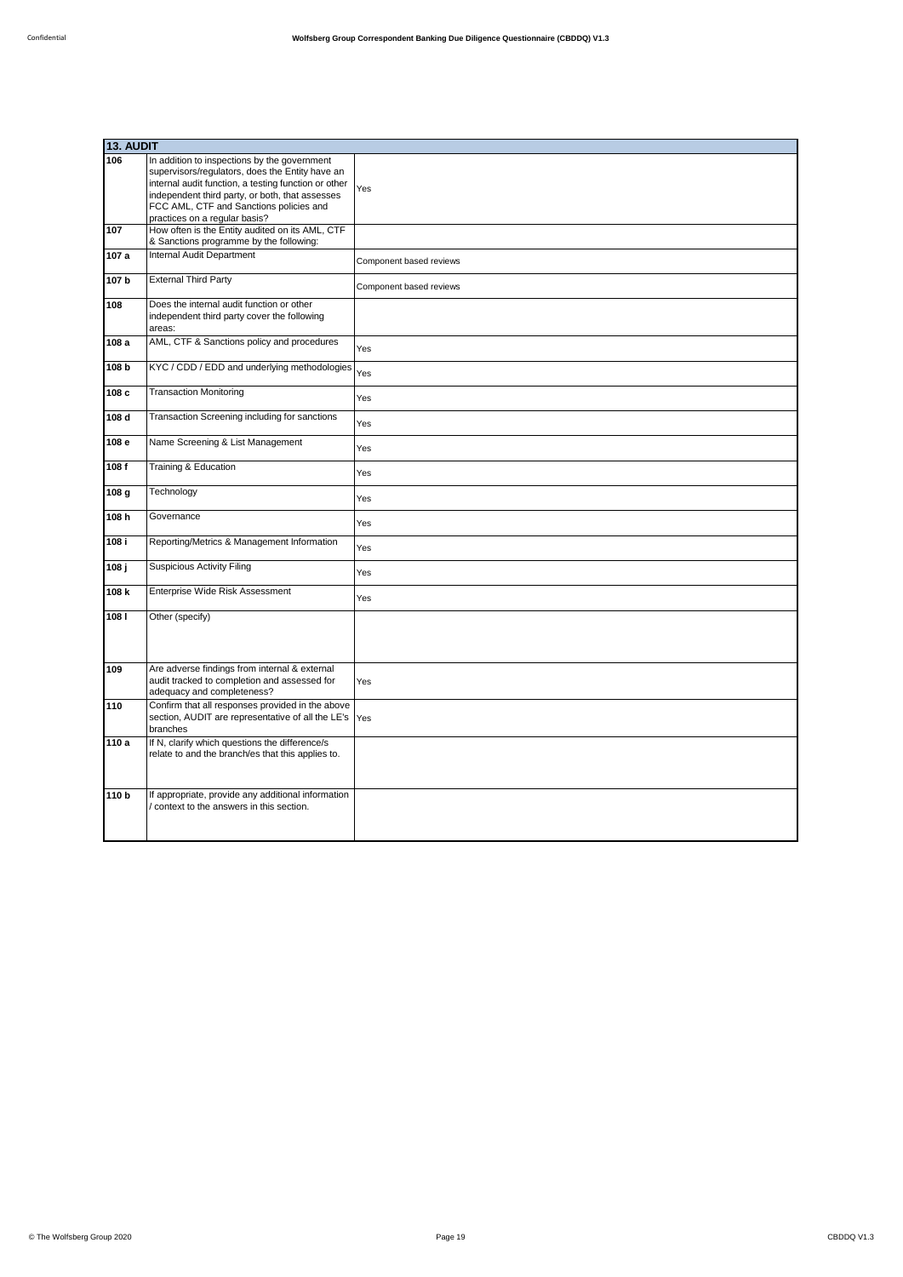|                  | 13. AUDIT                                                                                                                                                                                                                                                                              |                         |  |
|------------------|----------------------------------------------------------------------------------------------------------------------------------------------------------------------------------------------------------------------------------------------------------------------------------------|-------------------------|--|
| 106              | In addition to inspections by the government<br>supervisors/regulators, does the Entity have an<br>internal audit function, a testing function or other<br>independent third party, or both, that assesses<br>FCC AML, CTF and Sanctions policies and<br>practices on a regular basis? | Yes                     |  |
| 107              | How often is the Entity audited on its AML, CTF<br>& Sanctions programme by the following:                                                                                                                                                                                             |                         |  |
| 107a             | Internal Audit Department                                                                                                                                                                                                                                                              | Component based reviews |  |
| 107 b            | <b>External Third Party</b>                                                                                                                                                                                                                                                            | Component based reviews |  |
| 108              | Does the internal audit function or other<br>independent third party cover the following<br>areas:                                                                                                                                                                                     |                         |  |
| 108 a            | AML, CTF & Sanctions policy and procedures                                                                                                                                                                                                                                             | Yes                     |  |
| 108 b            | KYC / CDD / EDD and underlying methodologies                                                                                                                                                                                                                                           | Yes                     |  |
| 108 c            | <b>Transaction Monitoring</b>                                                                                                                                                                                                                                                          | Yes                     |  |
| 108 d            | Transaction Screening including for sanctions                                                                                                                                                                                                                                          | Yes                     |  |
| 108 e            | Name Screening & List Management                                                                                                                                                                                                                                                       | Yes                     |  |
| 108f             | Training & Education                                                                                                                                                                                                                                                                   | Yes                     |  |
| 108 g            | Technology                                                                                                                                                                                                                                                                             | Yes                     |  |
| 108 h            | Governance                                                                                                                                                                                                                                                                             | Yes                     |  |
| 108i             | Reporting/Metrics & Management Information                                                                                                                                                                                                                                             | Yes                     |  |
| 108 j            | <b>Suspicious Activity Filing</b>                                                                                                                                                                                                                                                      | Yes                     |  |
| 108 k            | Enterprise Wide Risk Assessment                                                                                                                                                                                                                                                        | Yes                     |  |
| 1081             | Other (specify)                                                                                                                                                                                                                                                                        |                         |  |
| 109              | Are adverse findings from internal & external<br>audit tracked to completion and assessed for<br>adequacy and completeness?                                                                                                                                                            | Yes                     |  |
| 110              | Confirm that all responses provided in the above<br>section, AUDIT are representative of all the LE's<br>branches                                                                                                                                                                      | Yes                     |  |
| 110a             | If N, clarify which questions the difference/s<br>relate to and the branch/es that this applies to.                                                                                                                                                                                    |                         |  |
| 110 <sub>b</sub> | If appropriate, provide any additional information<br>context to the answers in this section.                                                                                                                                                                                          |                         |  |